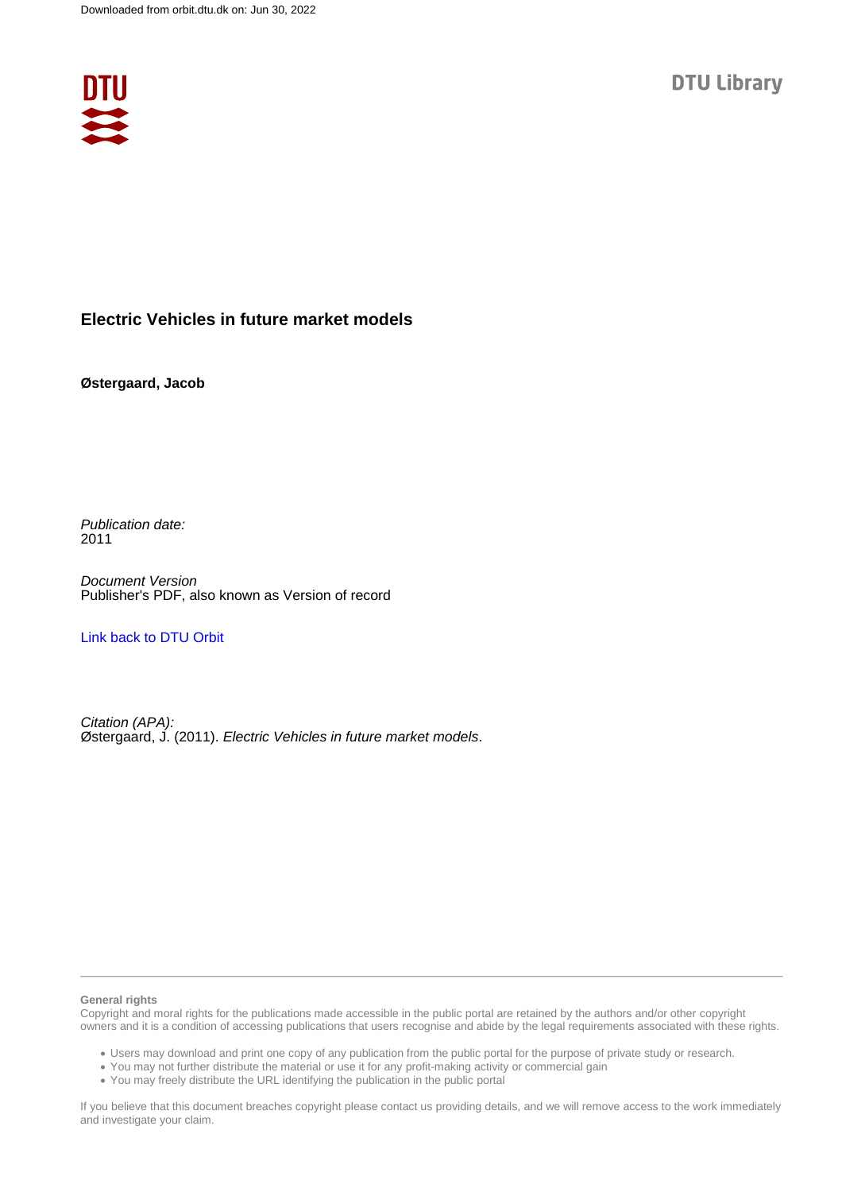

## **Electric Vehicles in future market models**

## **Østergaard, Jacob**

Publication date: 2011

Document Version Publisher's PDF, also known as Version of record

[Link back to DTU Orbit](https://orbit.dtu.dk/en/publications/7507b86f-18fe-4f0d-b9d4-c75212f1e3fe)

Citation (APA): Østergaard, J. (2011). Electric Vehicles in future market models.

#### **General rights**

Copyright and moral rights for the publications made accessible in the public portal are retained by the authors and/or other copyright owners and it is a condition of accessing publications that users recognise and abide by the legal requirements associated with these rights.

Users may download and print one copy of any publication from the public portal for the purpose of private study or research.

- You may not further distribute the material or use it for any profit-making activity or commercial gain
- You may freely distribute the URL identifying the publication in the public portal

If you believe that this document breaches copyright please contact us providing details, and we will remove access to the work immediately and investigate your claim.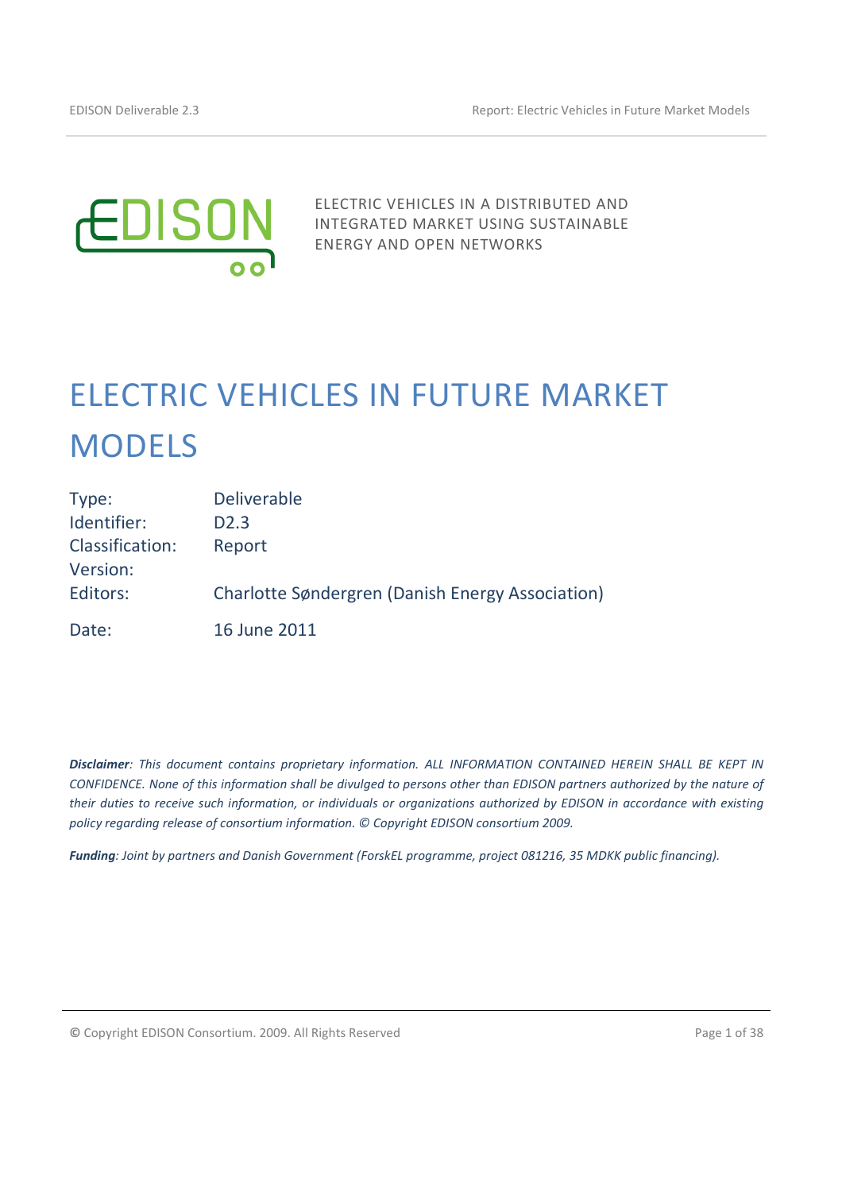

ELECTRIC VEHICLES IN A DISTRIBUTED AND INTEGRATED MARKET USING SUSTAINABLE ENERGY AND OPEN NETWORKS

# ELECTRIC VEHICLES IN FUTURE MARKET MODELS

| Type:                              | <b>Deliverable</b>                               |
|------------------------------------|--------------------------------------------------|
| Identifier:                        | D <sub>2.3</sub>                                 |
| <b>Classification:</b><br>Version: | Report                                           |
| Editors:                           | Charlotte Søndergren (Danish Energy Association) |
| Date:                              | 16 June 2011                                     |

Disclaimer: This document contains proprietary information. ALL INFORMATION CONTAINED HEREIN SHALL BE KEPT IN CONFIDENCE. None of this information shall be divulged to persons other than EDISON partners authorized by the nature of their duties to receive such information, or individuals or organizations authorized by EDISON in accordance with existing policy regarding release of consortium information. © Copyright EDISON consortium 2009.

Funding: Joint by partners and Danish Government (ForskEL programme, project 081216, 35 MDKK public financing).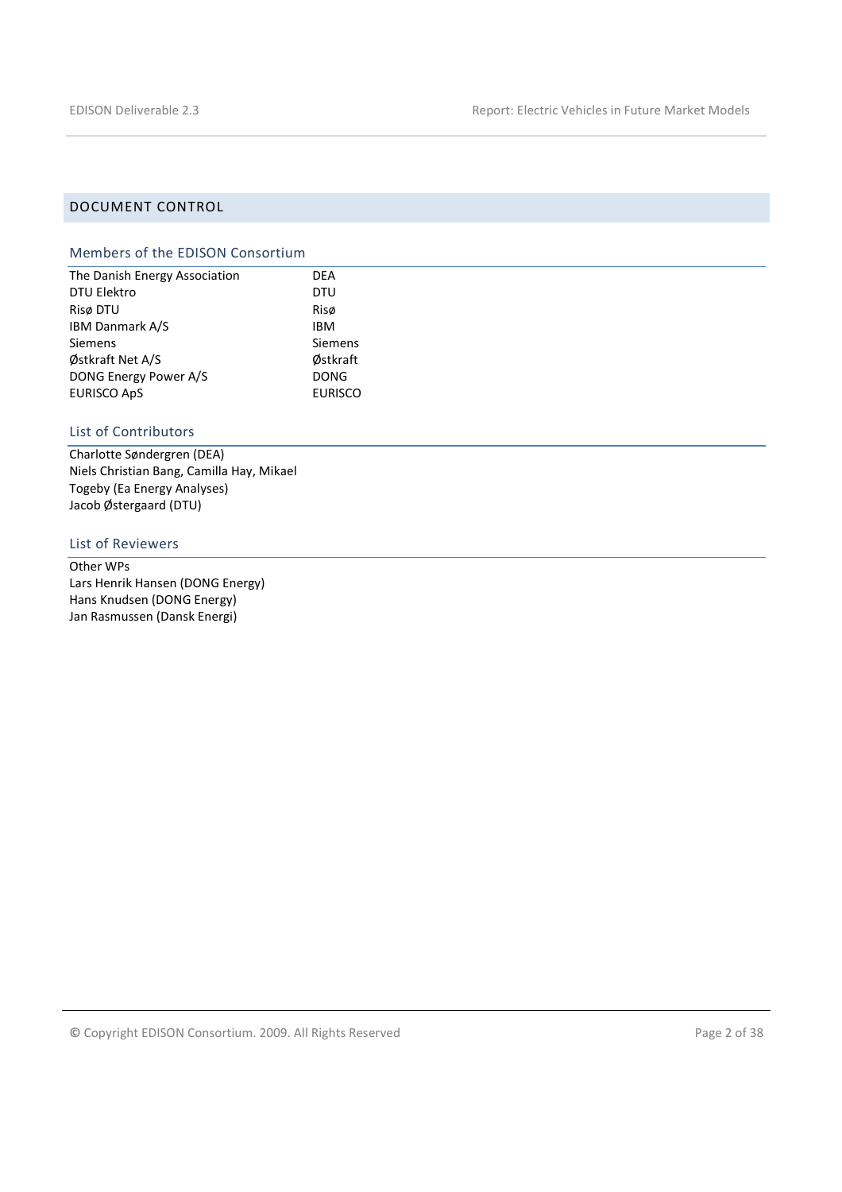## DOCUMENT CONTROL

## Members of the EDISON Consortium

| The Danish Energy Association | <b>DEA</b>     |
|-------------------------------|----------------|
| DTU Elektro                   | <b>DTU</b>     |
| Risø DTU                      | Risø           |
| IBM Danmark A/S               | <b>IBM</b>     |
| Siemens                       | <b>Siemens</b> |
| Østkraft Net A/S              | Østkraft       |
| DONG Energy Power A/S         | <b>DONG</b>    |
| <b>EURISCO ApS</b>            | <b>EURISCO</b> |

## List of Contributors

Charlotte Søndergren (DEA) Niels Christian Bang, Camilla Hay, Mikael Togeby (Ea Energy Analyses) Jacob Østergaard (DTU)

#### List of Reviewers

Other WPs Lars Henrik Hansen (DONG Energy) Hans Knudsen (DONG Energy) Jan Rasmussen (Dansk Energi)

© Copyright EDISON Consortium. 2009. All Rights Reserved Page 2 of 38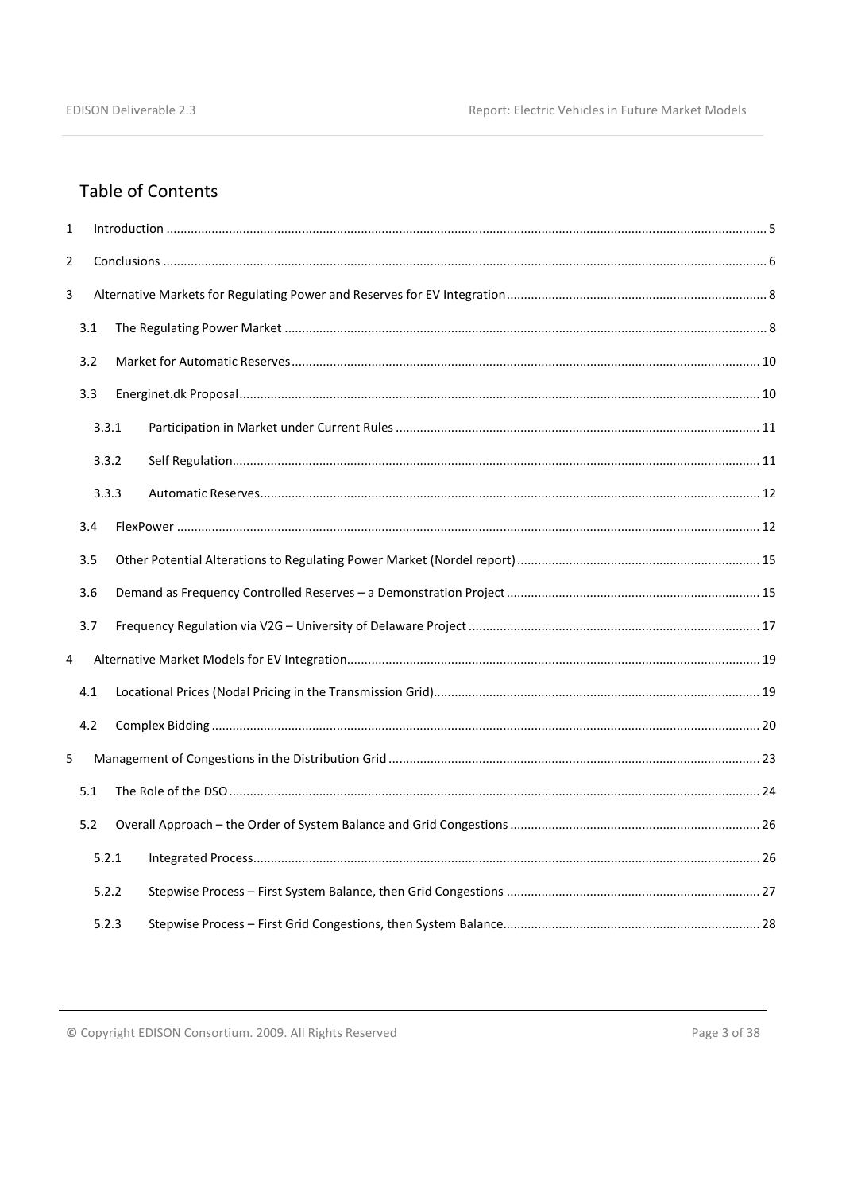# **Table of Contents**

| $\mathbf{1}$   |     |       |  |  |  |
|----------------|-----|-------|--|--|--|
| $\overline{2}$ |     |       |  |  |  |
| 3              |     |       |  |  |  |
|                | 3.1 |       |  |  |  |
|                | 3.2 |       |  |  |  |
|                | 3.3 |       |  |  |  |
|                |     | 3.3.1 |  |  |  |
|                |     | 3.3.2 |  |  |  |
|                |     | 3.3.3 |  |  |  |
|                | 3.4 |       |  |  |  |
|                | 3.5 |       |  |  |  |
|                | 3.6 |       |  |  |  |
|                | 3.7 |       |  |  |  |
| 4              |     |       |  |  |  |
|                | 4.1 |       |  |  |  |
|                | 4.2 |       |  |  |  |
| 5              |     |       |  |  |  |
|                | 5.1 |       |  |  |  |
|                | 5.2 |       |  |  |  |
|                |     | 5.2.1 |  |  |  |
|                |     | 5.2.2 |  |  |  |
|                |     | 5.2.3 |  |  |  |

© Copyright EDISON Consortium. 2009. All Rights Reserved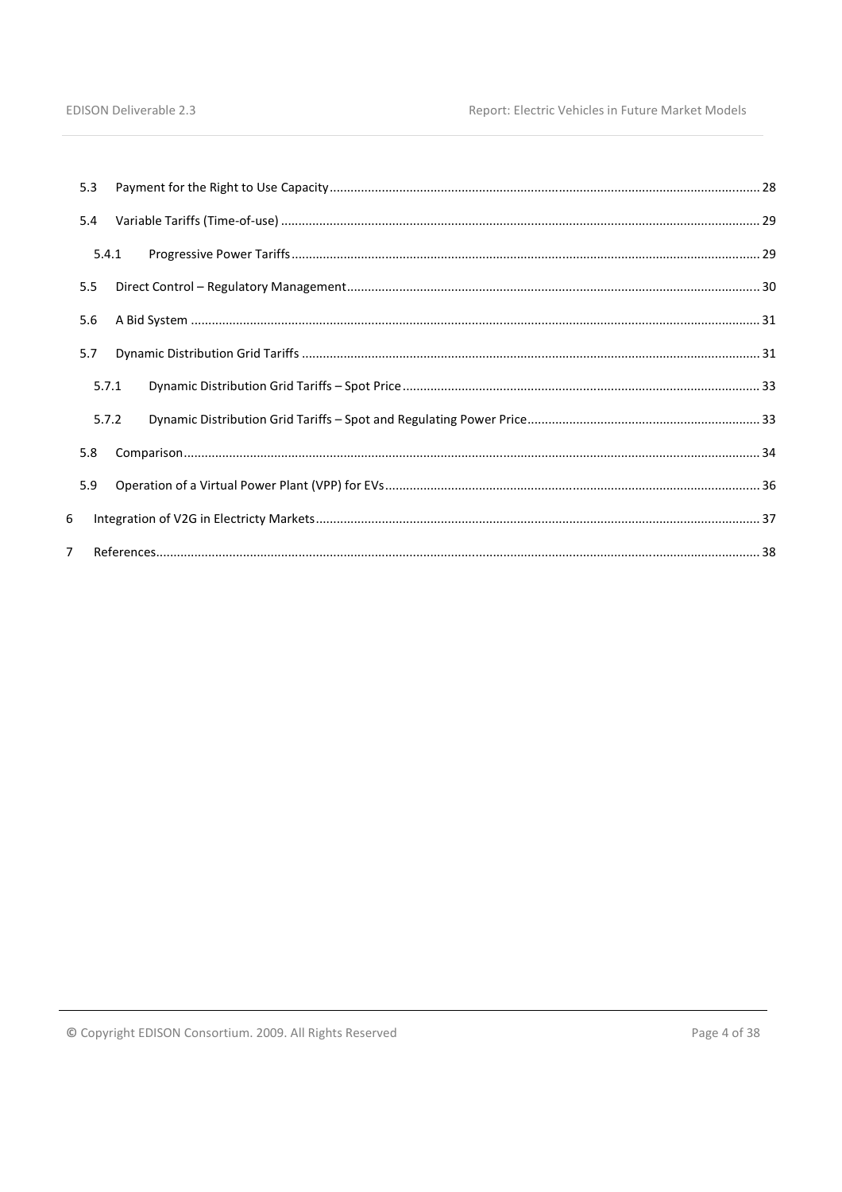|                | 5.3   |  |  |
|----------------|-------|--|--|
|                | 5.4   |  |  |
|                | 5.4.1 |  |  |
|                | 5.5   |  |  |
|                | 5.6   |  |  |
|                | 5.7   |  |  |
|                | 5.7.1 |  |  |
|                | 5.7.2 |  |  |
|                | 5.8   |  |  |
|                | 5.9   |  |  |
| 6              |       |  |  |
| $\overline{7}$ |       |  |  |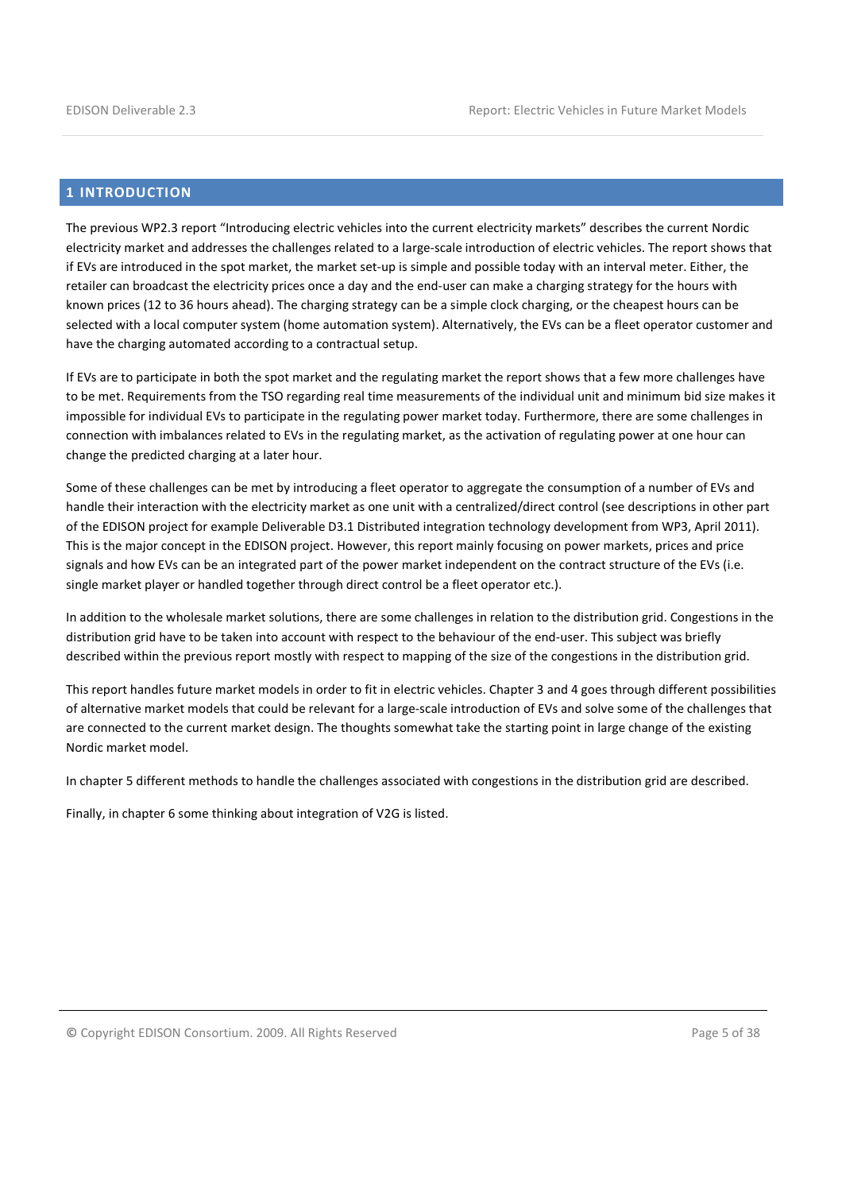## 1 INTRODUCTION

The previous WP2.3 report "Introducing electric vehicles into the current electricity markets" describes the current Nordic electricity market and addresses the challenges related to a large-scale introduction of electric vehicles. The report shows that if EVs are introduced in the spot market, the market set-up is simple and possible today with an interval meter. Either, the retailer can broadcast the electricity prices once a day and the end-user can make a charging strategy for the hours with known prices (12 to 36 hours ahead). The charging strategy can be a simple clock charging, or the cheapest hours can be selected with a local computer system (home automation system). Alternatively, the EVs can be a fleet operator customer and have the charging automated according to a contractual setup.

If EVs are to participate in both the spot market and the regulating market the report shows that a few more challenges have to be met. Requirements from the TSO regarding real time measurements of the individual unit and minimum bid size makes it impossible for individual EVs to participate in the regulating power market today. Furthermore, there are some challenges in connection with imbalances related to EVs in the regulating market, as the activation of regulating power at one hour can change the predicted charging at a later hour.

Some of these challenges can be met by introducing a fleet operator to aggregate the consumption of a number of EVs and handle their interaction with the electricity market as one unit with a centralized/direct control (see descriptions in other part of the EDISON project for example Deliverable D3.1 Distributed integration technology development from WP3, April 2011). This is the major concept in the EDISON project. However, this report mainly focusing on power markets, prices and price signals and how EVs can be an integrated part of the power market independent on the contract structure of the EVs (i.e. single market player or handled together through direct control be a fleet operator etc.).

In addition to the wholesale market solutions, there are some challenges in relation to the distribution grid. Congestions in the distribution grid have to be taken into account with respect to the behaviour of the end-user. This subject was briefly described within the previous report mostly with respect to mapping of the size of the congestions in the distribution grid.

This report handles future market models in order to fit in electric vehicles. Chapter 3 and 4 goes through different possibilities of alternative market models that could be relevant for a large-scale introduction of EVs and solve some of the challenges that are connected to the current market design. The thoughts somewhat take the starting point in large change of the existing Nordic market model.

In chapter 5 different methods to handle the challenges associated with congestions in the distribution grid are described.

Finally, in chapter 6 some thinking about integration of V2G is listed.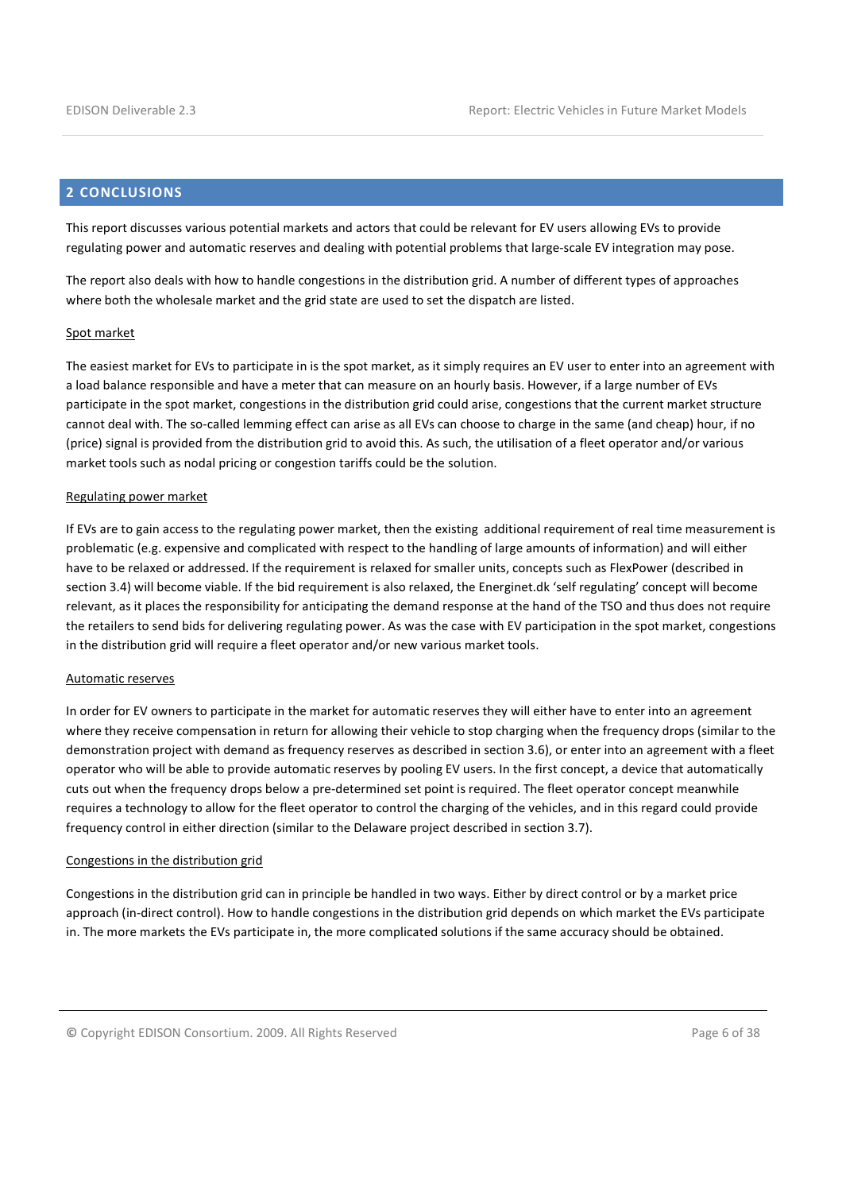## 2 CONCLUSIONS

This report discusses various potential markets and actors that could be relevant for EV users allowing EVs to provide regulating power and automatic reserves and dealing with potential problems that large-scale EV integration may pose.

The report also deals with how to handle congestions in the distribution grid. A number of different types of approaches where both the wholesale market and the grid state are used to set the dispatch are listed.

#### Spot market

The easiest market for EVs to participate in is the spot market, as it simply requires an EV user to enter into an agreement with a load balance responsible and have a meter that can measure on an hourly basis. However, if a large number of EVs participate in the spot market, congestions in the distribution grid could arise, congestions that the current market structure cannot deal with. The so-called lemming effect can arise as all EVs can choose to charge in the same (and cheap) hour, if no (price) signal is provided from the distribution grid to avoid this. As such, the utilisation of a fleet operator and/or various market tools such as nodal pricing or congestion tariffs could be the solution.

#### Regulating power market

If EVs are to gain access to the regulating power market, then the existing additional requirement of real time measurement is problematic (e.g. expensive and complicated with respect to the handling of large amounts of information) and will either have to be relaxed or addressed. If the requirement is relaxed for smaller units, concepts such as FlexPower (described in section 3.4) will become viable. If the bid requirement is also relaxed, the Energinet.dk 'self regulating' concept will become relevant, as it places the responsibility for anticipating the demand response at the hand of the TSO and thus does not require the retailers to send bids for delivering regulating power. As was the case with EV participation in the spot market, congestions in the distribution grid will require a fleet operator and/or new various market tools.

#### Automatic reserves

In order for EV owners to participate in the market for automatic reserves they will either have to enter into an agreement where they receive compensation in return for allowing their vehicle to stop charging when the frequency drops (similar to the demonstration project with demand as frequency reserves as described in section 3.6), or enter into an agreement with a fleet operator who will be able to provide automatic reserves by pooling EV users. In the first concept, a device that automatically cuts out when the frequency drops below a pre-determined set point is required. The fleet operator concept meanwhile requires a technology to allow for the fleet operator to control the charging of the vehicles, and in this regard could provide frequency control in either direction (similar to the Delaware project described in section 3.7).

#### Congestions in the distribution grid

Congestions in the distribution grid can in principle be handled in two ways. Either by direct control or by a market price approach (in-direct control). How to handle congestions in the distribution grid depends on which market the EVs participate in. The more markets the EVs participate in, the more complicated solutions if the same accuracy should be obtained.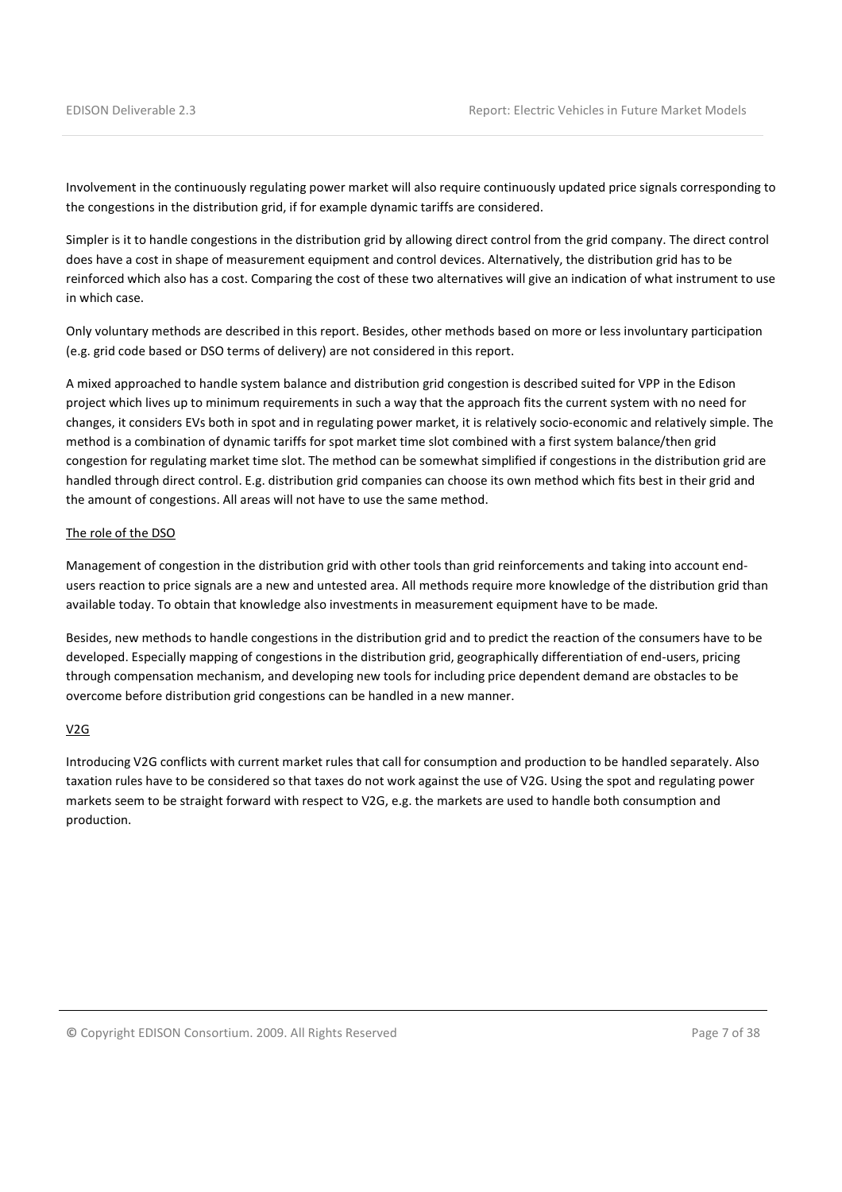Involvement in the continuously regulating power market will also require continuously updated price signals corresponding to the congestions in the distribution grid, if for example dynamic tariffs are considered.

Simpler is it to handle congestions in the distribution grid by allowing direct control from the grid company. The direct control does have a cost in shape of measurement equipment and control devices. Alternatively, the distribution grid has to be reinforced which also has a cost. Comparing the cost of these two alternatives will give an indication of what instrument to use in which case.

Only voluntary methods are described in this report. Besides, other methods based on more or less involuntary participation (e.g. grid code based or DSO terms of delivery) are not considered in this report.

A mixed approached to handle system balance and distribution grid congestion is described suited for VPP in the Edison project which lives up to minimum requirements in such a way that the approach fits the current system with no need for changes, it considers EVs both in spot and in regulating power market, it is relatively socio-economic and relatively simple. The method is a combination of dynamic tariffs for spot market time slot combined with a first system balance/then grid congestion for regulating market time slot. The method can be somewhat simplified if congestions in the distribution grid are handled through direct control. E.g. distribution grid companies can choose its own method which fits best in their grid and the amount of congestions. All areas will not have to use the same method.

#### The role of the DSO

Management of congestion in the distribution grid with other tools than grid reinforcements and taking into account endusers reaction to price signals are a new and untested area. All methods require more knowledge of the distribution grid than available today. To obtain that knowledge also investments in measurement equipment have to be made.

Besides, new methods to handle congestions in the distribution grid and to predict the reaction of the consumers have to be developed. Especially mapping of congestions in the distribution grid, geographically differentiation of end-users, pricing through compensation mechanism, and developing new tools for including price dependent demand are obstacles to be overcome before distribution grid congestions can be handled in a new manner.

#### V2G

Introducing V2G conflicts with current market rules that call for consumption and production to be handled separately. Also taxation rules have to be considered so that taxes do not work against the use of V2G. Using the spot and regulating power markets seem to be straight forward with respect to V2G, e.g. the markets are used to handle both consumption and production.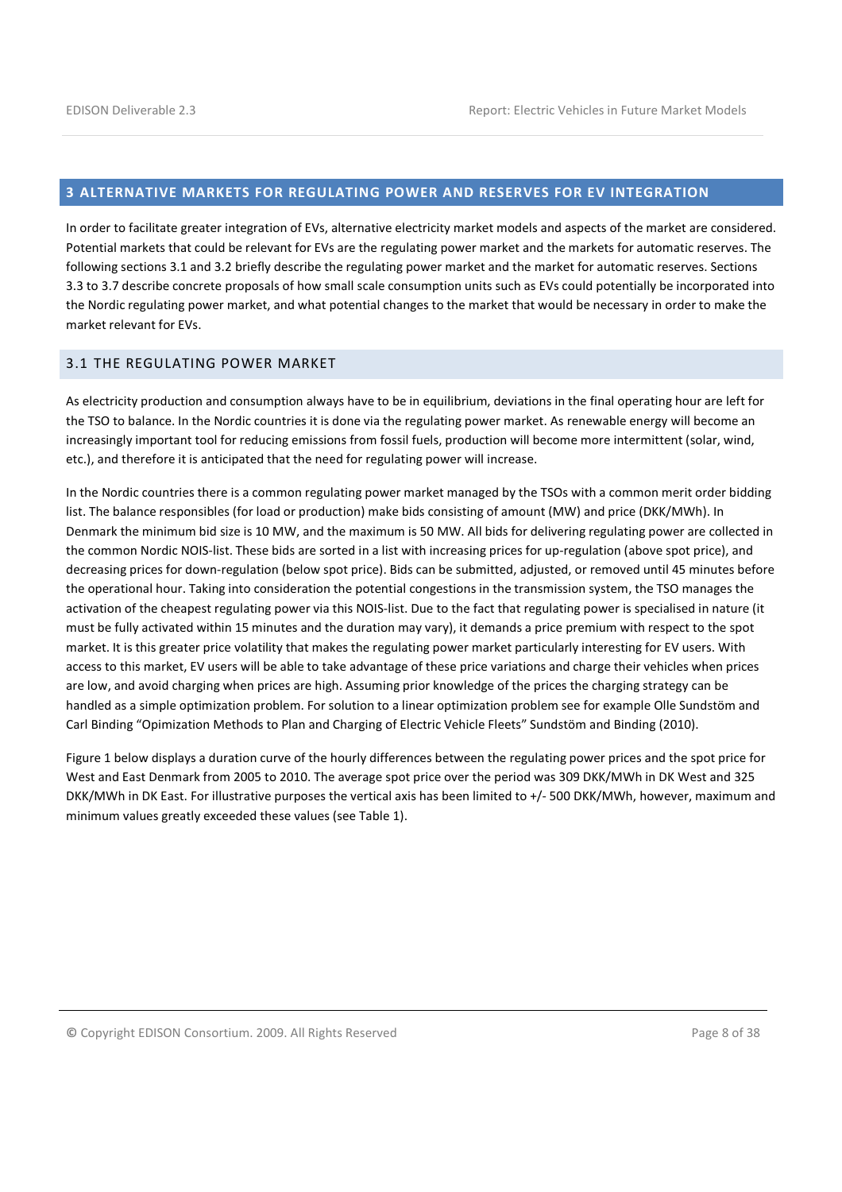## 3 ALTERNATIVE MARKETS FOR REGULATING POWER AND RESERVES FOR EV INTEGRATION

In order to facilitate greater integration of EVs, alternative electricity market models and aspects of the market are considered. Potential markets that could be relevant for EVs are the regulating power market and the markets for automatic reserves. The following sections 3.1 and 3.2 briefly describe the regulating power market and the market for automatic reserves. Sections 3.3 to 3.7 describe concrete proposals of how small scale consumption units such as EVs could potentially be incorporated into the Nordic regulating power market, and what potential changes to the market that would be necessary in order to make the market relevant for EVs.

## 3.1 THE REGULATING POWER MARKET

As electricity production and consumption always have to be in equilibrium, deviations in the final operating hour are left for the TSO to balance. In the Nordic countries it is done via the regulating power market. As renewable energy will become an increasingly important tool for reducing emissions from fossil fuels, production will become more intermittent (solar, wind, etc.), and therefore it is anticipated that the need for regulating power will increase.

In the Nordic countries there is a common regulating power market managed by the TSOs with a common merit order bidding list. The balance responsibles (for load or production) make bids consisting of amount (MW) and price (DKK/MWh). In Denmark the minimum bid size is 10 MW, and the maximum is 50 MW. All bids for delivering regulating power are collected in the common Nordic NOIS-list. These bids are sorted in a list with increasing prices for up-regulation (above spot price), and decreasing prices for down-regulation (below spot price). Bids can be submitted, adjusted, or removed until 45 minutes before the operational hour. Taking into consideration the potential congestions in the transmission system, the TSO manages the activation of the cheapest regulating power via this NOIS-list. Due to the fact that regulating power is specialised in nature (it must be fully activated within 15 minutes and the duration may vary), it demands a price premium with respect to the spot market. It is this greater price volatility that makes the regulating power market particularly interesting for EV users. With access to this market, EV users will be able to take advantage of these price variations and charge their vehicles when prices are low, and avoid charging when prices are high. Assuming prior knowledge of the prices the charging strategy can be handled as a simple optimization problem. For solution to a linear optimization problem see for example Olle Sundstöm and Carl Binding "Opimization Methods to Plan and Charging of Electric Vehicle Fleets" Sundstöm and Binding (2010).

Figure 1 below displays a duration curve of the hourly differences between the regulating power prices and the spot price for West and East Denmark from 2005 to 2010. The average spot price over the period was 309 DKK/MWh in DK West and 325 DKK/MWh in DK East. For illustrative purposes the vertical axis has been limited to +/- 500 DKK/MWh, however, maximum and minimum values greatly exceeded these values (see Table 1).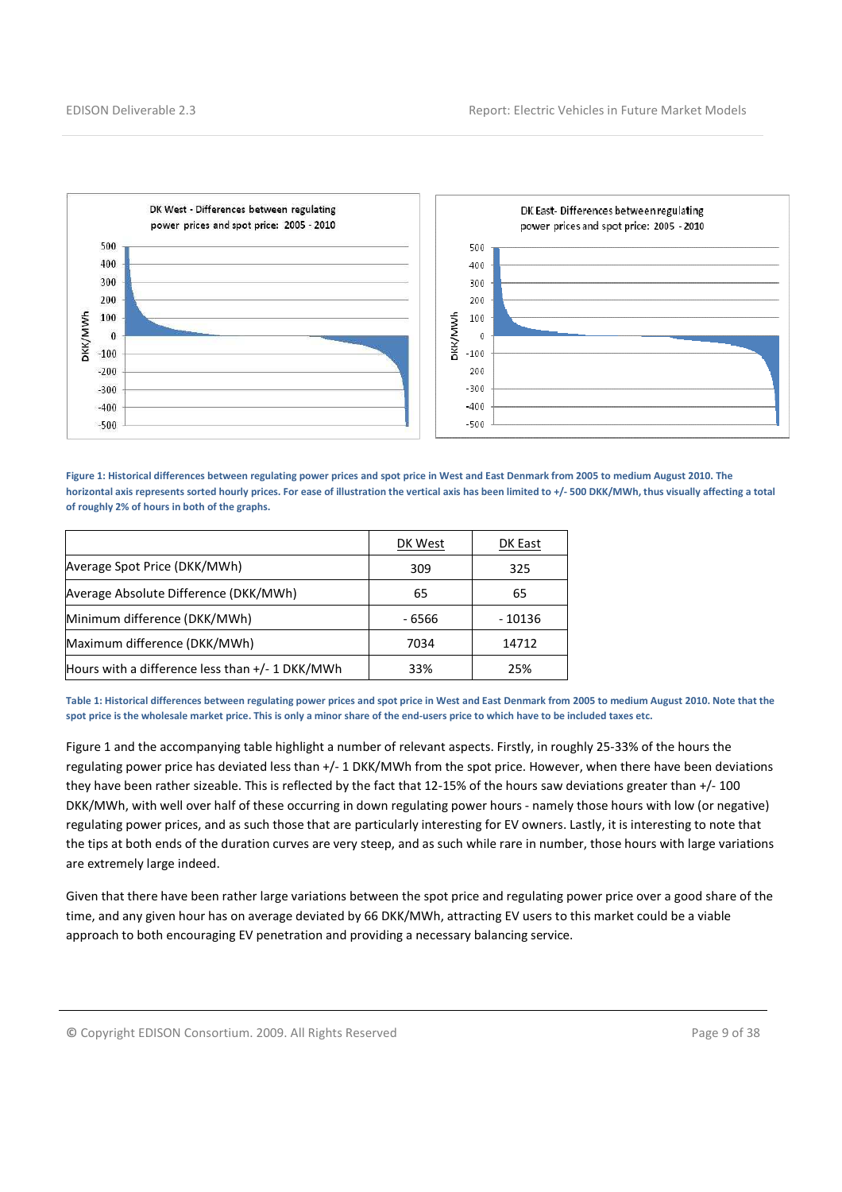

Figure 1: Historical differences between regulating power prices and spot price in West and East Denmark from 2005 to medium August 2010. The horizontal axis represents sorted hourly prices. For ease of illustration the vertical axis has been limited to +/- 500 DKK/MWh, thus visually affecting a total of roughly 2% of hours in both of the graphs.

|                                                   | DK West | DK East |
|---------------------------------------------------|---------|---------|
| Average Spot Price (DKK/MWh)                      | 309     | 325     |
| Average Absolute Difference (DKK/MWh)             | 65      | 65      |
| Minimum difference (DKK/MWh)                      | - 6566  | - 10136 |
| Maximum difference (DKK/MWh)                      | 7034    | 14712   |
| Hours with a difference less than $+/- 1$ DKK/MWh | 33%     | 25%     |

Table 1: Historical differences between regulating power prices and spot price in West and East Denmark from 2005 to medium August 2010. Note that the spot price is the wholesale market price. This is only a minor share of the end-users price to which have to be included taxes etc.

Figure 1 and the accompanying table highlight a number of relevant aspects. Firstly, in roughly 25-33% of the hours the regulating power price has deviated less than +/- 1 DKK/MWh from the spot price. However, when there have been deviations they have been rather sizeable. This is reflected by the fact that 12-15% of the hours saw deviations greater than +/- 100 DKK/MWh, with well over half of these occurring in down regulating power hours - namely those hours with low (or negative) regulating power prices, and as such those that are particularly interesting for EV owners. Lastly, it is interesting to note that the tips at both ends of the duration curves are very steep, and as such while rare in number, those hours with large variations are extremely large indeed.

Given that there have been rather large variations between the spot price and regulating power price over a good share of the time, and any given hour has on average deviated by 66 DKK/MWh, attracting EV users to this market could be a viable approach to both encouraging EV penetration and providing a necessary balancing service.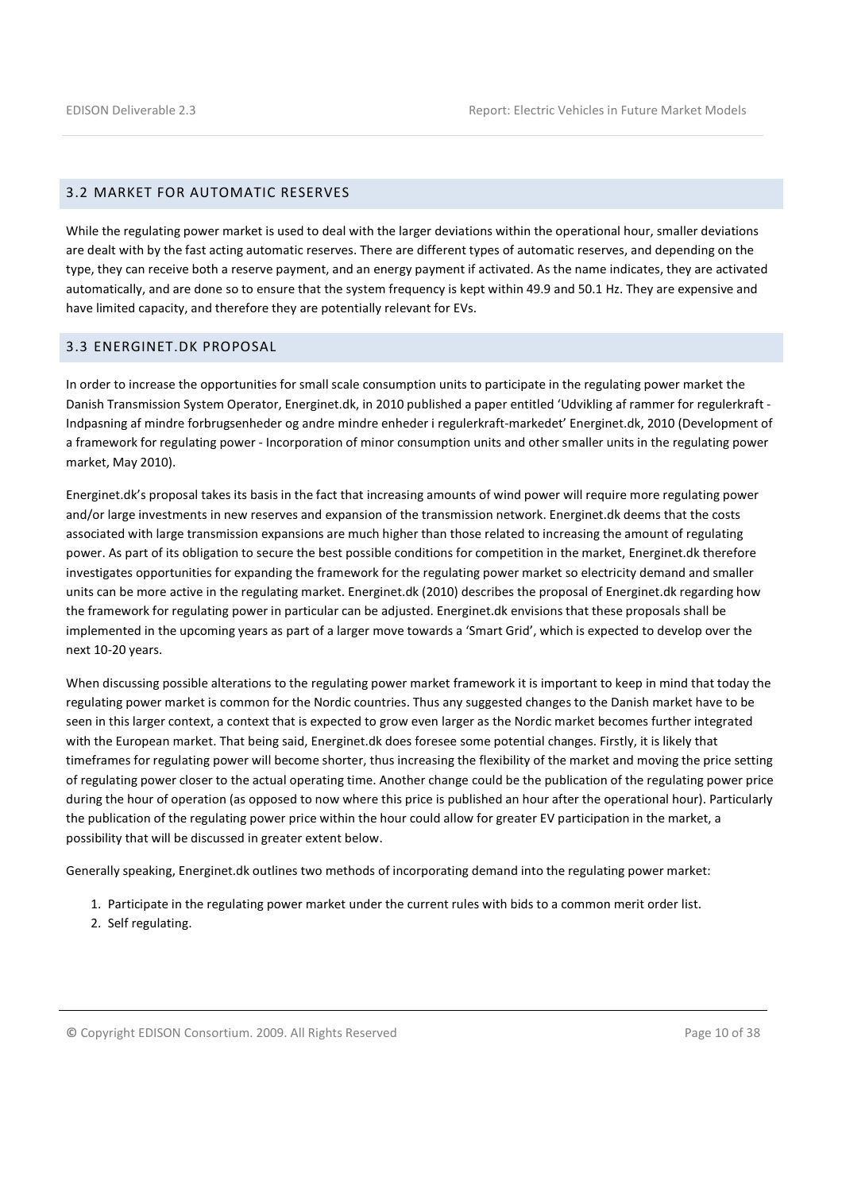#### 3.2 MARKET FOR AUTOMATIC RESERVES

While the regulating power market is used to deal with the larger deviations within the operational hour, smaller deviations are dealt with by the fast acting automatic reserves. There are different types of automatic reserves, and depending on the type, they can receive both a reserve payment, and an energy payment if activated. As the name indicates, they are activated automatically, and are done so to ensure that the system frequency is kept within 49.9 and 50.1 Hz. They are expensive and have limited capacity, and therefore they are potentially relevant for EVs.

#### 3.3 ENERGINET.DK PROPOSAL

In order to increase the opportunities for small scale consumption units to participate in the regulating power market the Danish Transmission System Operator, Energinet.dk, in 2010 published a paper entitled 'Udvikling af rammer for regulerkraft - Indpasning af mindre forbrugsenheder og andre mindre enheder i regulerkraft-markedet' Energinet.dk, 2010 (Development of a framework for regulating power - Incorporation of minor consumption units and other smaller units in the regulating power market, May 2010).

Energinet.dk's proposal takes its basis in the fact that increasing amounts of wind power will require more regulating power and/or large investments in new reserves and expansion of the transmission network. Energinet.dk deems that the costs associated with large transmission expansions are much higher than those related to increasing the amount of regulating power. As part of its obligation to secure the best possible conditions for competition in the market, Energinet.dk therefore investigates opportunities for expanding the framework for the regulating power market so electricity demand and smaller units can be more active in the regulating market. Energinet.dk (2010) describes the proposal of Energinet.dk regarding how the framework for regulating power in particular can be adjusted. Energinet.dk envisions that these proposals shall be implemented in the upcoming years as part of a larger move towards a 'Smart Grid', which is expected to develop over the next 10-20 years.

When discussing possible alterations to the regulating power market framework it is important to keep in mind that today the regulating power market is common for the Nordic countries. Thus any suggested changes to the Danish market have to be seen in this larger context, a context that is expected to grow even larger as the Nordic market becomes further integrated with the European market. That being said, Energinet.dk does foresee some potential changes. Firstly, it is likely that timeframes for regulating power will become shorter, thus increasing the flexibility of the market and moving the price setting of regulating power closer to the actual operating time. Another change could be the publication of the regulating power price during the hour of operation (as opposed to now where this price is published an hour after the operational hour). Particularly the publication of the regulating power price within the hour could allow for greater EV participation in the market, a possibility that will be discussed in greater extent below.

Generally speaking, Energinet.dk outlines two methods of incorporating demand into the regulating power market:

- 1. Participate in the regulating power market under the current rules with bids to a common merit order list.
- 2. Self regulating.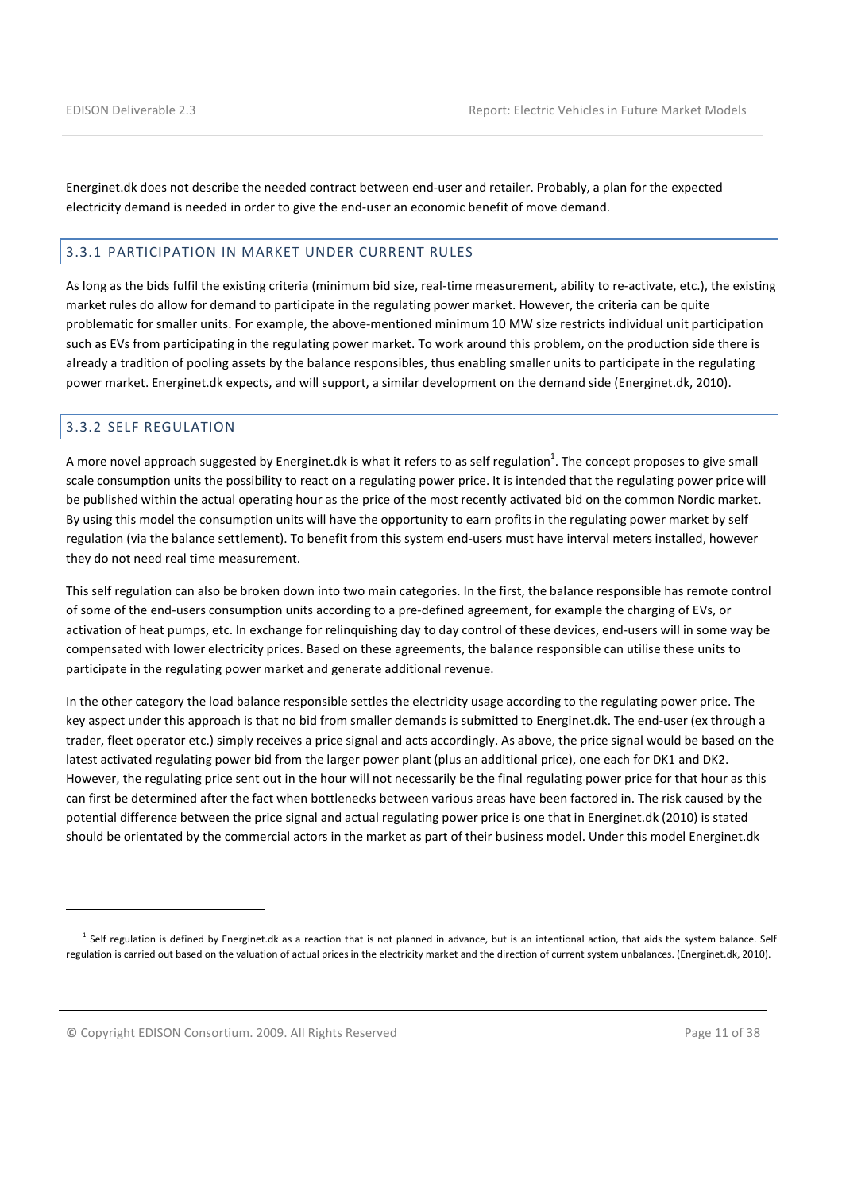Energinet.dk does not describe the needed contract between end-user and retailer. Probably, a plan for the expected electricity demand is needed in order to give the end-user an economic benefit of move demand.

#### 3.3.1 PARTICIPATION IN MARKET UNDER CURRENT RULES

As long as the bids fulfil the existing criteria (minimum bid size, real-time measurement, ability to re-activate, etc.), the existing market rules do allow for demand to participate in the regulating power market. However, the criteria can be quite problematic for smaller units. For example, the above-mentioned minimum 10 MW size restricts individual unit participation such as EVs from participating in the regulating power market. To work around this problem, on the production side there is already a tradition of pooling assets by the balance responsibles, thus enabling smaller units to participate in the regulating power market. Energinet.dk expects, and will support, a similar development on the demand side (Energinet.dk, 2010).

#### 3.3.2 SELF REGULATION

l

A more novel approach suggested by Energinet.dk is what it refers to as self regulation $^1$ . The concept proposes to give small scale consumption units the possibility to react on a regulating power price. It is intended that the regulating power price will be published within the actual operating hour as the price of the most recently activated bid on the common Nordic market. By using this model the consumption units will have the opportunity to earn profits in the regulating power market by self regulation (via the balance settlement). To benefit from this system end-users must have interval meters installed, however they do not need real time measurement.

This self regulation can also be broken down into two main categories. In the first, the balance responsible has remote control of some of the end-users consumption units according to a pre-defined agreement, for example the charging of EVs, or activation of heat pumps, etc. In exchange for relinquishing day to day control of these devices, end-users will in some way be compensated with lower electricity prices. Based on these agreements, the balance responsible can utilise these units to participate in the regulating power market and generate additional revenue.

In the other category the load balance responsible settles the electricity usage according to the regulating power price. The key aspect under this approach is that no bid from smaller demands is submitted to Energinet.dk. The end-user (ex through a trader, fleet operator etc.) simply receives a price signal and acts accordingly. As above, the price signal would be based on the latest activated regulating power bid from the larger power plant (plus an additional price), one each for DK1 and DK2. However, the regulating price sent out in the hour will not necessarily be the final regulating power price for that hour as this can first be determined after the fact when bottlenecks between various areas have been factored in. The risk caused by the potential difference between the price signal and actual regulating power price is one that in Energinet.dk (2010) is stated should be orientated by the commercial actors in the market as part of their business model. Under this model Energinet.dk

© Copyright EDISON Consortium. 2009. All Rights Reserved Page 11 of 38

 $^1$  Self regulation is defined by Energinet.dk as a reaction that is not planned in advance, but is an intentional action, that aids the system balance. Self regulation is carried out based on the valuation of actual prices in the electricity market and the direction of current system unbalances. (Energinet.dk, 2010).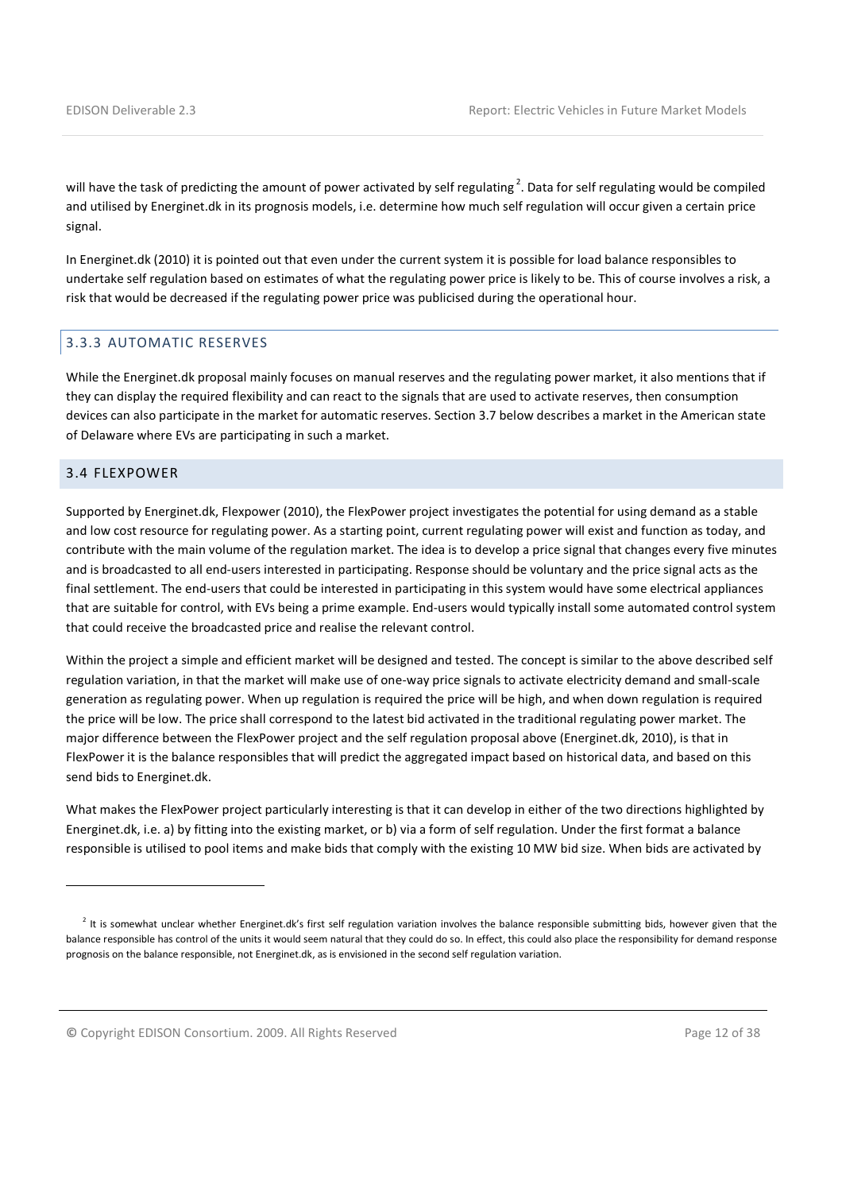will have the task of predicting the amount of power activated by self regulating<sup>2</sup>. Data for self regulating would be compiled and utilised by Energinet.dk in its prognosis models, i.e. determine how much self regulation will occur given a certain price signal.

In Energinet.dk (2010) it is pointed out that even under the current system it is possible for load balance responsibles to undertake self regulation based on estimates of what the regulating power price is likely to be. This of course involves a risk, a risk that would be decreased if the regulating power price was publicised during the operational hour.

#### 3.3.3 AUTOMATIC RESERVES

While the Energinet.dk proposal mainly focuses on manual reserves and the regulating power market, it also mentions that if they can display the required flexibility and can react to the signals that are used to activate reserves, then consumption devices can also participate in the market for automatic reserves. Section 3.7 below describes a market in the American state of Delaware where EVs are participating in such a market.

#### 3.4 FLEXPOWER

 $\overline{a}$ 

Supported by Energinet.dk, Flexpower (2010), the FlexPower project investigates the potential for using demand as a stable and low cost resource for regulating power. As a starting point, current regulating power will exist and function as today, and contribute with the main volume of the regulation market. The idea is to develop a price signal that changes every five minutes and is broadcasted to all end-users interested in participating. Response should be voluntary and the price signal acts as the final settlement. The end-users that could be interested in participating in this system would have some electrical appliances that are suitable for control, with EVs being a prime example. End-users would typically install some automated control system that could receive the broadcasted price and realise the relevant control.

Within the project a simple and efficient market will be designed and tested. The concept is similar to the above described self regulation variation, in that the market will make use of one-way price signals to activate electricity demand and small-scale generation as regulating power. When up regulation is required the price will be high, and when down regulation is required the price will be low. The price shall correspond to the latest bid activated in the traditional regulating power market. The major difference between the FlexPower project and the self regulation proposal above (Energinet.dk, 2010), is that in FlexPower it is the balance responsibles that will predict the aggregated impact based on historical data, and based on this send bids to Energinet.dk.

What makes the FlexPower project particularly interesting is that it can develop in either of the two directions highlighted by Energinet.dk, i.e. a) by fitting into the existing market, or b) via a form of self regulation. Under the first format a balance responsible is utilised to pool items and make bids that comply with the existing 10 MW bid size. When bids are activated by

© Copyright EDISON Consortium. 2009. All Rights Reserved Page 12 of 38

 $^2$  It is somewhat unclear whether Energinet.dk's first self regulation variation involves the balance responsible submitting bids, however given that the balance responsible has control of the units it would seem natural that they could do so. In effect, this could also place the responsibility for demand response prognosis on the balance responsible, not Energinet.dk, as is envisioned in the second self regulation variation.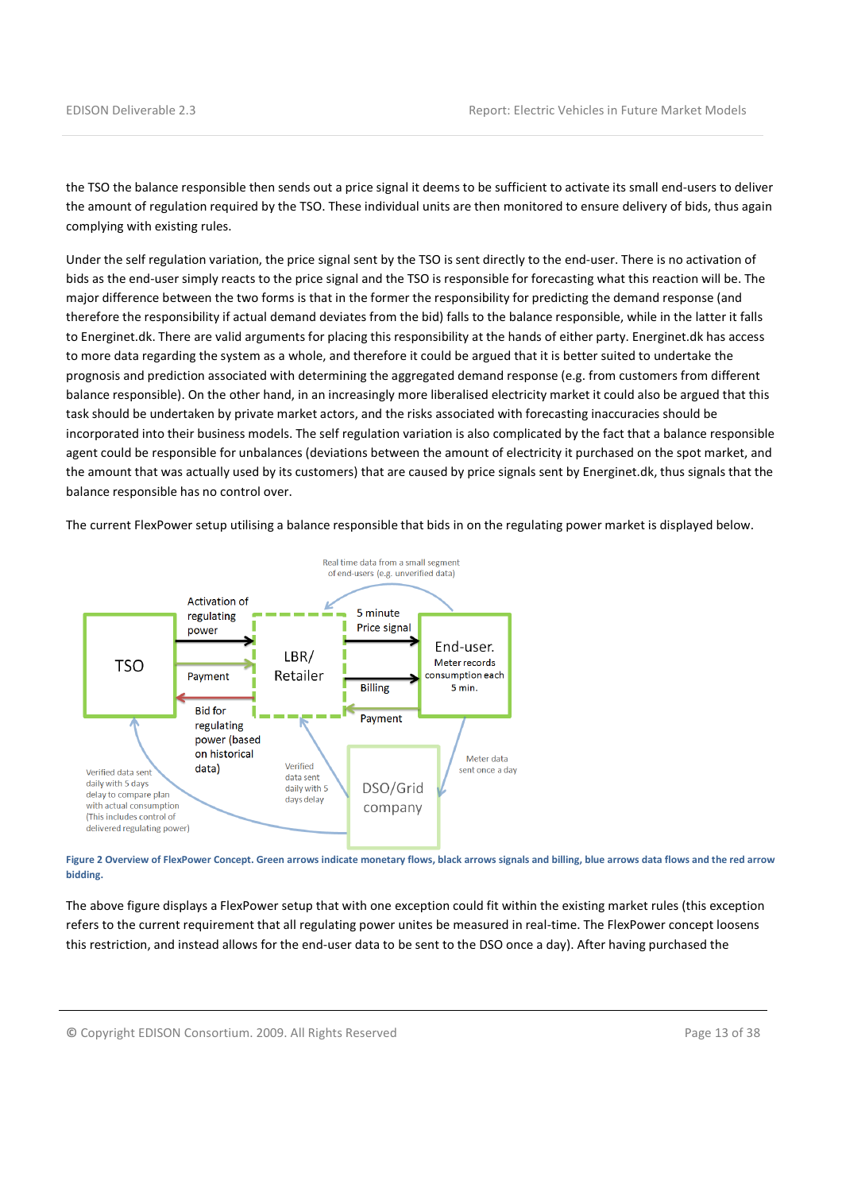the TSO the balance responsible then sends out a price signal it deems to be sufficient to activate its small end-users to deliver the amount of regulation required by the TSO. These individual units are then monitored to ensure delivery of bids, thus again complying with existing rules.

Under the self regulation variation, the price signal sent by the TSO is sent directly to the end-user. There is no activation of bids as the end-user simply reacts to the price signal and the TSO is responsible for forecasting what this reaction will be. The major difference between the two forms is that in the former the responsibility for predicting the demand response (and therefore the responsibility if actual demand deviates from the bid) falls to the balance responsible, while in the latter it falls to Energinet.dk. There are valid arguments for placing this responsibility at the hands of either party. Energinet.dk has access to more data regarding the system as a whole, and therefore it could be argued that it is better suited to undertake the prognosis and prediction associated with determining the aggregated demand response (e.g. from customers from different balance responsible). On the other hand, in an increasingly more liberalised electricity market it could also be argued that this task should be undertaken by private market actors, and the risks associated with forecasting inaccuracies should be incorporated into their business models. The self regulation variation is also complicated by the fact that a balance responsible agent could be responsible for unbalances (deviations between the amount of electricity it purchased on the spot market, and the amount that was actually used by its customers) that are caused by price signals sent by Energinet.dk, thus signals that the balance responsible has no control over.

The current FlexPower setup utilising a balance responsible that bids in on the regulating power market is displayed below.



Figure 2 Overview of FlexPower Concept. Green arrows indicate monetary flows, black arrows signals and billing, blue arrows data flows and the red arrow bidding.

The above figure displays a FlexPower setup that with one exception could fit within the existing market rules (this exception refers to the current requirement that all regulating power unites be measured in real-time. The FlexPower concept loosens this restriction, and instead allows for the end-user data to be sent to the DSO once a day). After having purchased the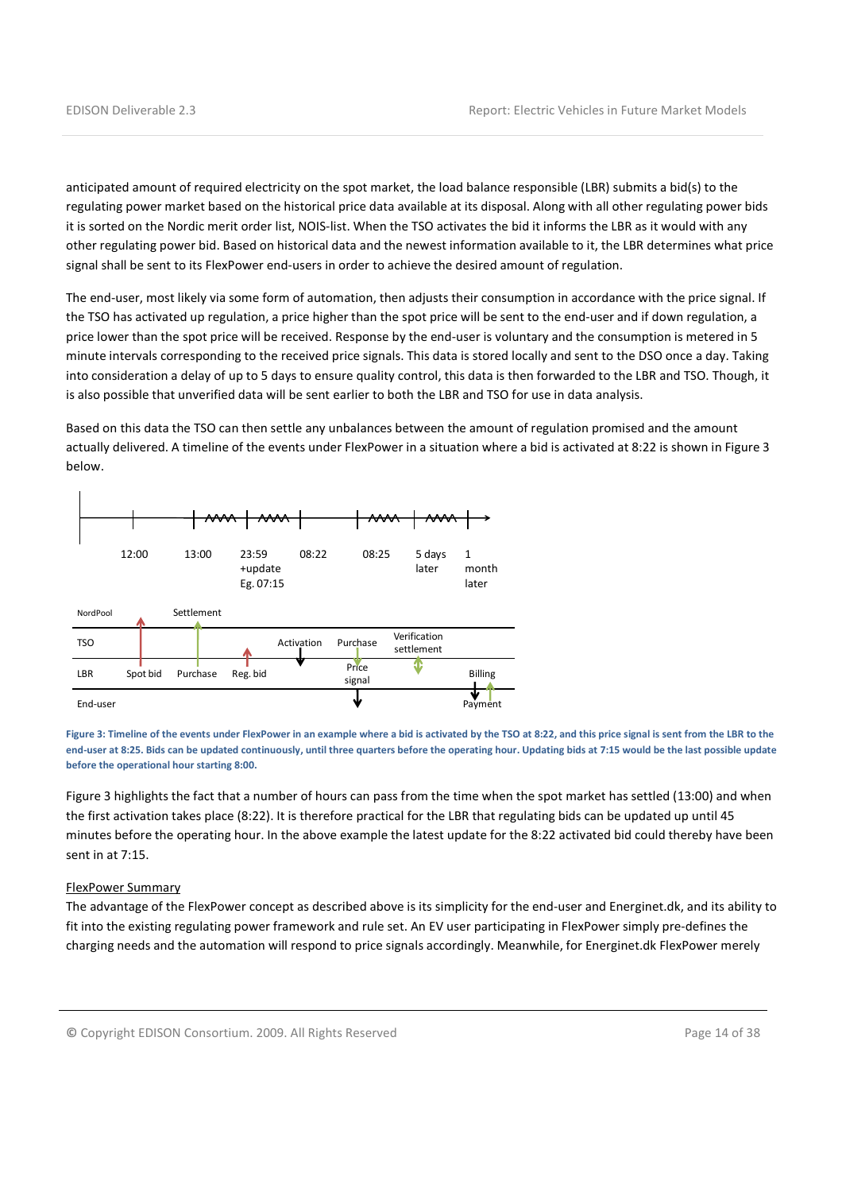anticipated amount of required electricity on the spot market, the load balance responsible (LBR) submits a bid(s) to the regulating power market based on the historical price data available at its disposal. Along with all other regulating power bids it is sorted on the Nordic merit order list, NOIS-list. When the TSO activates the bid it informs the LBR as it would with any other regulating power bid. Based on historical data and the newest information available to it, the LBR determines what price signal shall be sent to its FlexPower end-users in order to achieve the desired amount of regulation.

The end-user, most likely via some form of automation, then adjusts their consumption in accordance with the price signal. If the TSO has activated up regulation, a price higher than the spot price will be sent to the end-user and if down regulation, a price lower than the spot price will be received. Response by the end-user is voluntary and the consumption is metered in 5 minute intervals corresponding to the received price signals. This data is stored locally and sent to the DSO once a day. Taking into consideration a delay of up to 5 days to ensure quality control, this data is then forwarded to the LBR and TSO. Though, it is also possible that unverified data will be sent earlier to both the LBR and TSO for use in data analysis.

Based on this data the TSO can then settle any unbalances between the amount of regulation promised and the amount actually delivered. A timeline of the events under FlexPower in a situation where a bid is activated at 8:22 is shown in Figure 3 below.



Figure 3: Timeline of the events under FlexPower in an example where a bid is activated by the TSO at 8:22, and this price signal is sent from the LBR to the end-user at 8:25. Bids can be updated continuously, until three quarters before the operating hour. Updating bids at 7:15 would be the last possible update before the operational hour starting 8:00.

Figure 3 highlights the fact that a number of hours can pass from the time when the spot market has settled (13:00) and when the first activation takes place (8:22). It is therefore practical for the LBR that regulating bids can be updated up until 45 minutes before the operating hour. In the above example the latest update for the 8:22 activated bid could thereby have been sent in at 7:15.

#### FlexPower Summary

The advantage of the FlexPower concept as described above is its simplicity for the end-user and Energinet.dk, and its ability to fit into the existing regulating power framework and rule set. An EV user participating in FlexPower simply pre-defines the charging needs and the automation will respond to price signals accordingly. Meanwhile, for Energinet.dk FlexPower merely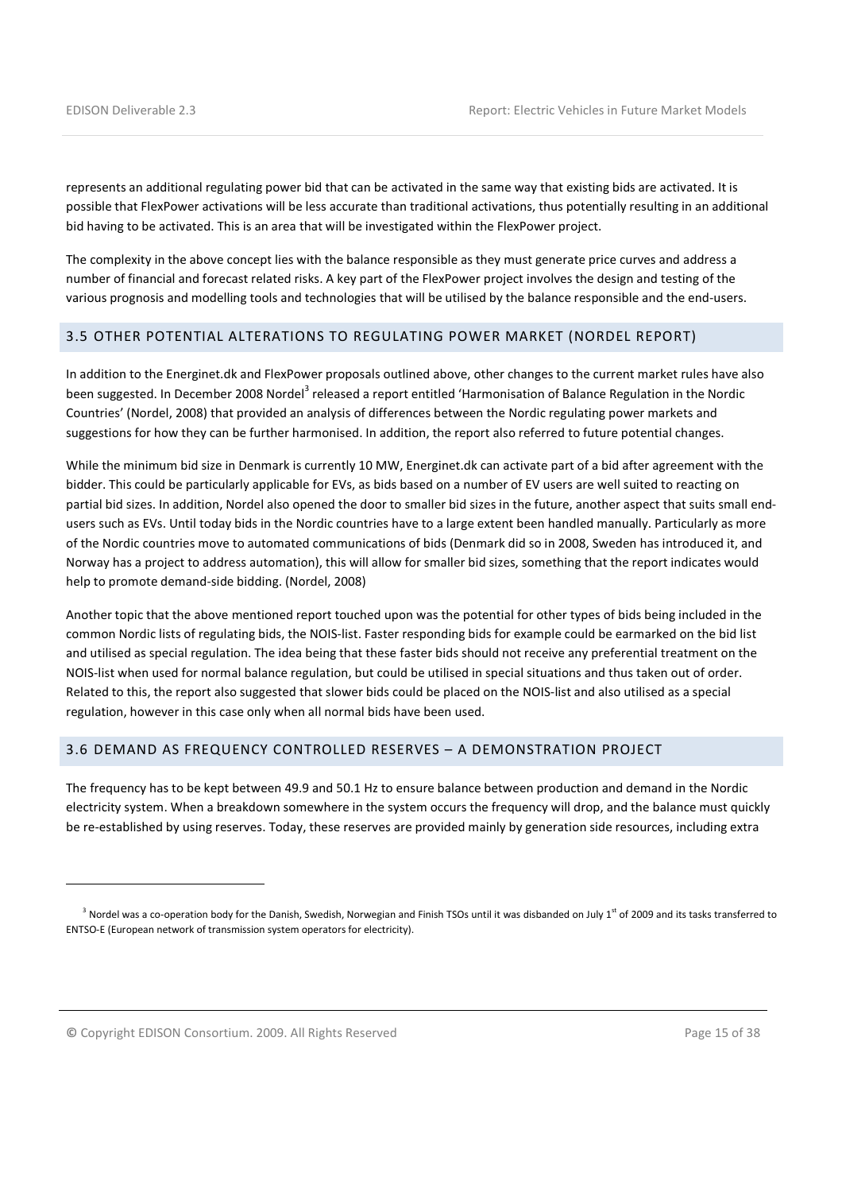represents an additional regulating power bid that can be activated in the same way that existing bids are activated. It is possible that FlexPower activations will be less accurate than traditional activations, thus potentially resulting in an additional bid having to be activated. This is an area that will be investigated within the FlexPower project.

The complexity in the above concept lies with the balance responsible as they must generate price curves and address a number of financial and forecast related risks. A key part of the FlexPower project involves the design and testing of the various prognosis and modelling tools and technologies that will be utilised by the balance responsible and the end-users.

#### 3.5 OTHER POTENTIAL ALTERATIONS TO REGULATING POWER MARKET (NORDEL REPORT)

In addition to the Energinet.dk and FlexPower proposals outlined above, other changes to the current market rules have also been suggested. In December 2008 Nordel<sup>3</sup> released a report entitled 'Harmonisation of Balance Regulation in the Nordic Countries' (Nordel, 2008) that provided an analysis of differences between the Nordic regulating power markets and suggestions for how they can be further harmonised. In addition, the report also referred to future potential changes.

While the minimum bid size in Denmark is currently 10 MW, Energinet.dk can activate part of a bid after agreement with the bidder. This could be particularly applicable for EVs, as bids based on a number of EV users are well suited to reacting on partial bid sizes. In addition, Nordel also opened the door to smaller bid sizes in the future, another aspect that suits small endusers such as EVs. Until today bids in the Nordic countries have to a large extent been handled manually. Particularly as more of the Nordic countries move to automated communications of bids (Denmark did so in 2008, Sweden has introduced it, and Norway has a project to address automation), this will allow for smaller bid sizes, something that the report indicates would help to promote demand-side bidding. (Nordel, 2008)

Another topic that the above mentioned report touched upon was the potential for other types of bids being included in the common Nordic lists of regulating bids, the NOIS-list. Faster responding bids for example could be earmarked on the bid list and utilised as special regulation. The idea being that these faster bids should not receive any preferential treatment on the NOIS-list when used for normal balance regulation, but could be utilised in special situations and thus taken out of order. Related to this, the report also suggested that slower bids could be placed on the NOIS-list and also utilised as a special regulation, however in this case only when all normal bids have been used.

#### 3.6 DEMAND AS FREQUENCY CONTROLLED RESERVES – A DEMONSTRATION PROJECT

The frequency has to be kept between 49.9 and 50.1 Hz to ensure balance between production and demand in the Nordic electricity system. When a breakdown somewhere in the system occurs the frequency will drop, and the balance must quickly be re-established by using reserves. Today, these reserves are provided mainly by generation side resources, including extra

© Copyright EDISON Consortium. 2009. All Rights Reserved Page 15 of 38

 $\overline{a}$ 

<sup>&</sup>lt;sup>3</sup> Nordel was a co-operation body for the Danish, Swedish, Norwegian and Finish TSOs until it was disbanded on July 1<sup>st</sup> of 2009 and its tasks transferred to ENTSO-E (European network of transmission system operators for electricity).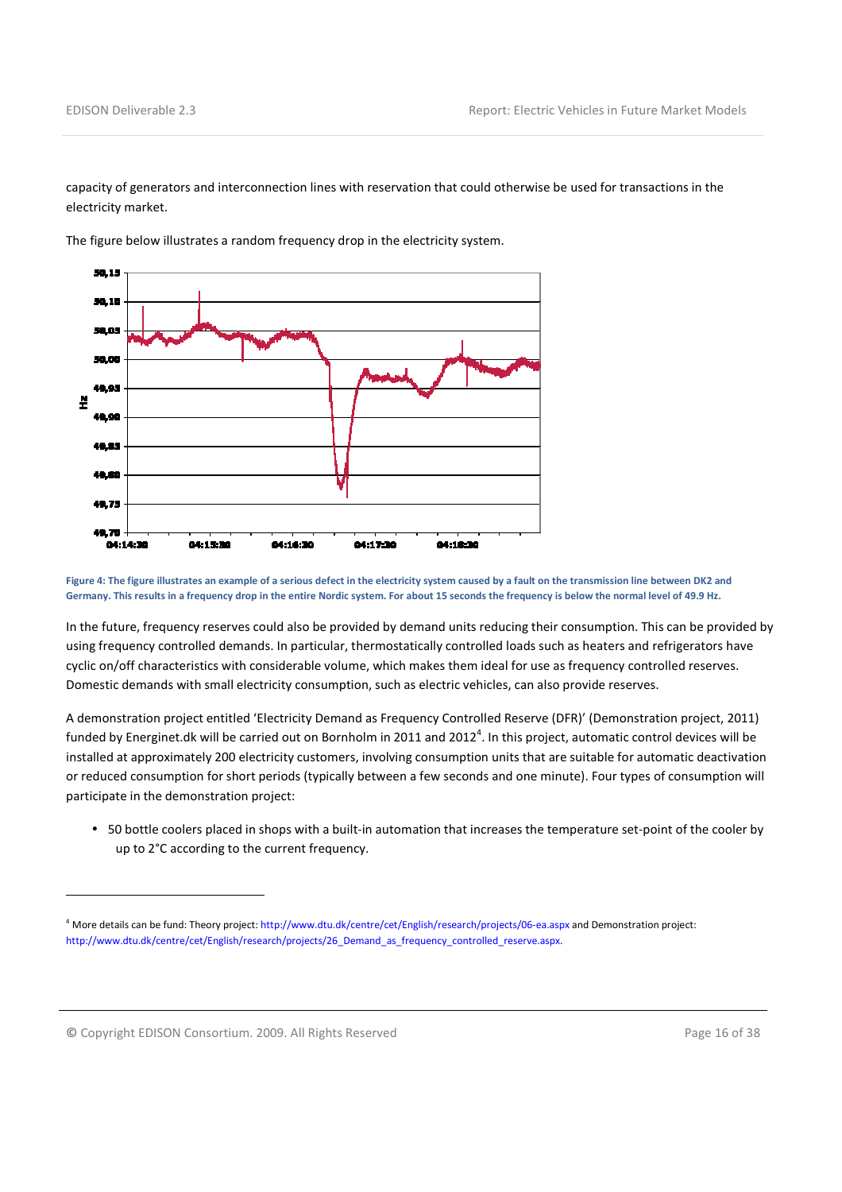capacity of generators and interconnection lines with reservation that could otherwise be used for transactions in the electricity market.



The figure below illustrates a random frequency drop in the electricity system.

Figure 4: The figure illustrates an example of a serious defect in the electricity system caused by a fault on the transmission line between DK2 and Germany. This results in a frequency drop in the entire Nordic system. For about 15 seconds the frequency is below the normal level of 49.9 Hz.

In the future, frequency reserves could also be provided by demand units reducing their consumption. This can be provided by using frequency controlled demands. In particular, thermostatically controlled loads such as heaters and refrigerators have cyclic on/off characteristics with considerable volume, which makes them ideal for use as frequency controlled reserves. Domestic demands with small electricity consumption, such as electric vehicles, can also provide reserves.

A demonstration project entitled 'Electricity Demand as Frequency Controlled Reserve (DFR)' (Demonstration project, 2011) funded by Energinet.dk will be carried out on Bornholm in 2011 and 2012<sup>4</sup>. In this project, automatic control devices will be installed at approximately 200 electricity customers, involving consumption units that are suitable for automatic deactivation or reduced consumption for short periods (typically between a few seconds and one minute). Four types of consumption will participate in the demonstration project:

• 50 bottle coolers placed in shops with a built-in automation that increases the temperature set-point of the cooler by up to 2°C according to the current frequency.

© Copyright EDISON Consortium. 2009. All Rights Reserved Page 16 of 38

l

<sup>4</sup> More details can be fund: Theory project: http://www.dtu.dk/centre/cet/English/research/projects/06-ea.aspx and Demonstration project: http://www.dtu.dk/centre/cet/English/research/projects/26\_Demand\_as\_frequency\_controlled\_reserve.aspx.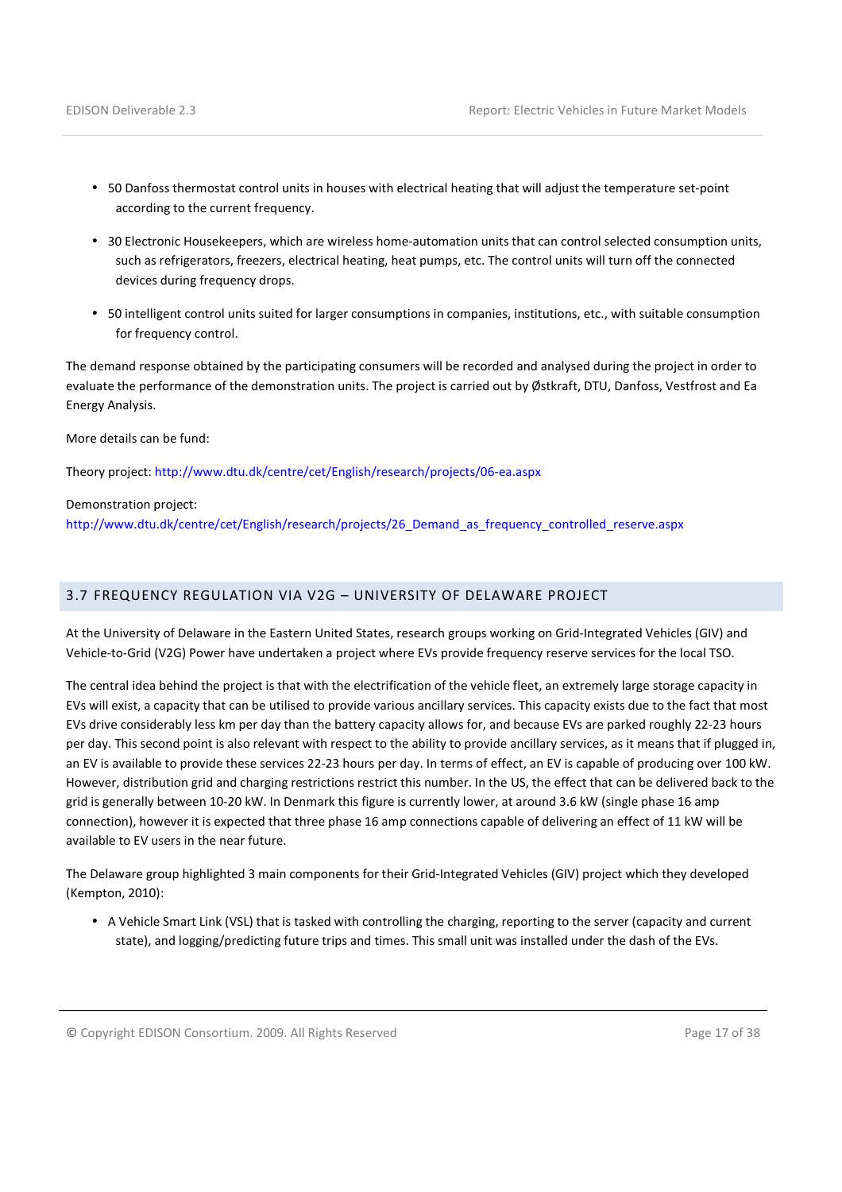- 50 Danfoss thermostat control units in houses with electrical heating that will adjust the temperature set-point according to the current frequency.
- 30 Electronic Housekeepers, which are wireless home-automation units that can control selected consumption units, such as refrigerators, freezers, electrical heating, heat pumps, etc. The control units will turn off the connected devices during frequency drops.
- 50 intelligent control units suited for larger consumptions in companies, institutions, etc., with suitable consumption for frequency control.

The demand response obtained by the participating consumers will be recorded and analysed during the project in order to evaluate the performance of the demonstration units. The project is carried out by Østkraft, DTU, Danfoss, Vestfrost and Ea Energy Analysis.

More details can be fund:

Theory project: http://www.dtu.dk/centre/cet/English/research/projects/06-ea.aspx

Demonstration project:

http://www.dtu.dk/centre/cet/English/research/projects/26\_Demand\_as\_frequency\_controlled\_reserve.aspx

## 3.7 FREQUENCY REGULATION VIA V2G – UNIVERSITY OF DELAWARE PROJECT

At the University of Delaware in the Eastern United States, research groups working on Grid-Integrated Vehicles (GIV) and Vehicle-to-Grid (V2G) Power have undertaken a project where EVs provide frequency reserve services for the local TSO.

The central idea behind the project is that with the electrification of the vehicle fleet, an extremely large storage capacity in EVs will exist, a capacity that can be utilised to provide various ancillary services. This capacity exists due to the fact that most EVs drive considerably less km per day than the battery capacity allows for, and because EVs are parked roughly 22-23 hours per day. This second point is also relevant with respect to the ability to provide ancillary services, as it means that if plugged in, an EV is available to provide these services 22-23 hours per day. In terms of effect, an EV is capable of producing over 100 kW. However, distribution grid and charging restrictions restrict this number. In the US, the effect that can be delivered back to the grid is generally between 10-20 kW. In Denmark this figure is currently lower, at around 3.6 kW (single phase 16 amp connection), however it is expected that three phase 16 amp connections capable of delivering an effect of 11 kW will be available to EV users in the near future.

The Delaware group highlighted 3 main components for their Grid-Integrated Vehicles (GIV) project which they developed (Kempton, 2010):

• A Vehicle Smart Link (VSL) that is tasked with controlling the charging, reporting to the server (capacity and current state), and logging/predicting future trips and times. This small unit was installed under the dash of the EVs.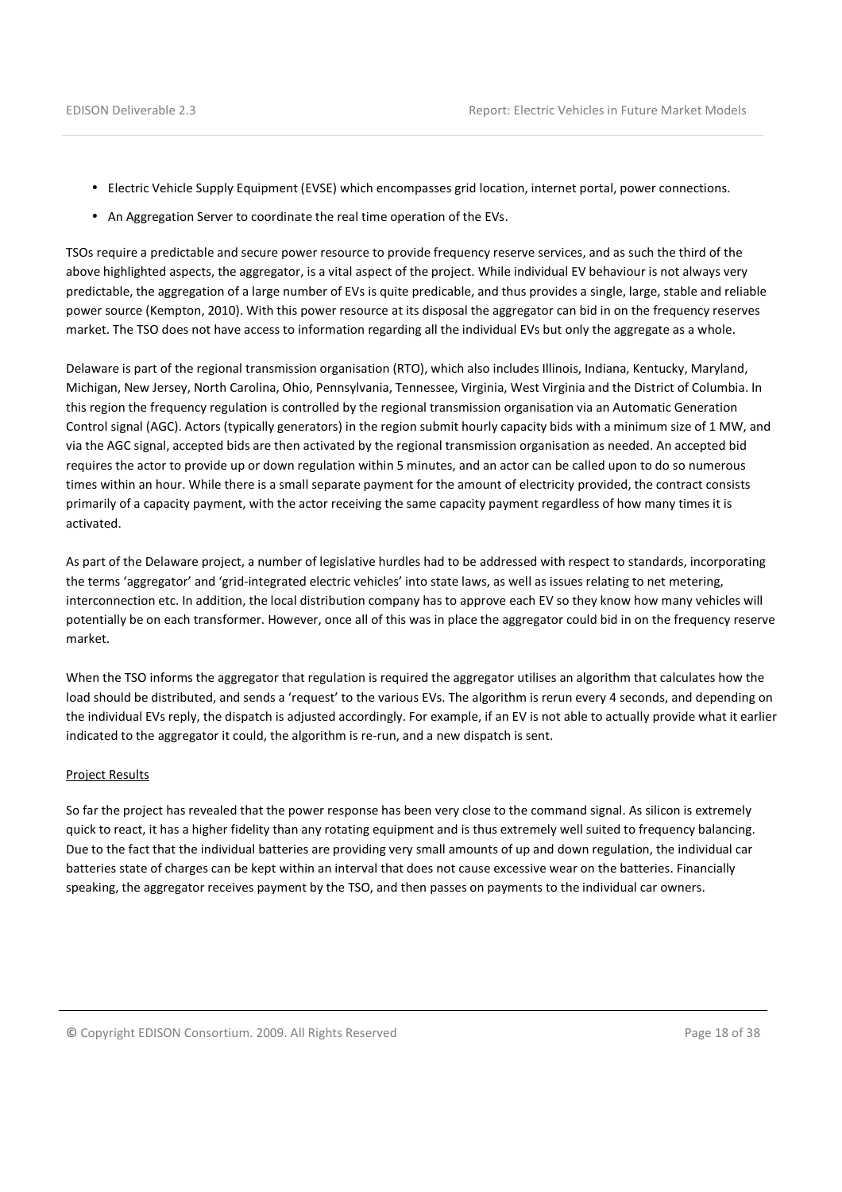- Electric Vehicle Supply Equipment (EVSE) which encompasses grid location, internet portal, power connections.
- An Aggregation Server to coordinate the real time operation of the EVs.

TSOs require a predictable and secure power resource to provide frequency reserve services, and as such the third of the above highlighted aspects, the aggregator, is a vital aspect of the project. While individual EV behaviour is not always very predictable, the aggregation of a large number of EVs is quite predicable, and thus provides a single, large, stable and reliable power source (Kempton, 2010). With this power resource at its disposal the aggregator can bid in on the frequency reserves market. The TSO does not have access to information regarding all the individual EVs but only the aggregate as a whole.

Delaware is part of the regional transmission organisation (RTO), which also includes Illinois, Indiana, Kentucky, Maryland, Michigan, New Jersey, North Carolina, Ohio, Pennsylvania, Tennessee, Virginia, West Virginia and the District of Columbia. In this region the frequency regulation is controlled by the regional transmission organisation via an Automatic Generation Control signal (AGC). Actors (typically generators) in the region submit hourly capacity bids with a minimum size of 1 MW, and via the AGC signal, accepted bids are then activated by the regional transmission organisation as needed. An accepted bid requires the actor to provide up or down regulation within 5 minutes, and an actor can be called upon to do so numerous times within an hour. While there is a small separate payment for the amount of electricity provided, the contract consists primarily of a capacity payment, with the actor receiving the same capacity payment regardless of how many times it is activated.

As part of the Delaware project, a number of legislative hurdles had to be addressed with respect to standards, incorporating the terms 'aggregator' and 'grid-integrated electric vehicles' into state laws, as well as issues relating to net metering, interconnection etc. In addition, the local distribution company has to approve each EV so they know how many vehicles will potentially be on each transformer. However, once all of this was in place the aggregator could bid in on the frequency reserve market.

When the TSO informs the aggregator that regulation is required the aggregator utilises an algorithm that calculates how the load should be distributed, and sends a 'request' to the various EVs. The algorithm is rerun every 4 seconds, and depending on the individual EVs reply, the dispatch is adjusted accordingly. For example, if an EV is not able to actually provide what it earlier indicated to the aggregator it could, the algorithm is re-run, and a new dispatch is sent.

#### Project Results

So far the project has revealed that the power response has been very close to the command signal. As silicon is extremely quick to react, it has a higher fidelity than any rotating equipment and is thus extremely well suited to frequency balancing. Due to the fact that the individual batteries are providing very small amounts of up and down regulation, the individual car batteries state of charges can be kept within an interval that does not cause excessive wear on the batteries. Financially speaking, the aggregator receives payment by the TSO, and then passes on payments to the individual car owners.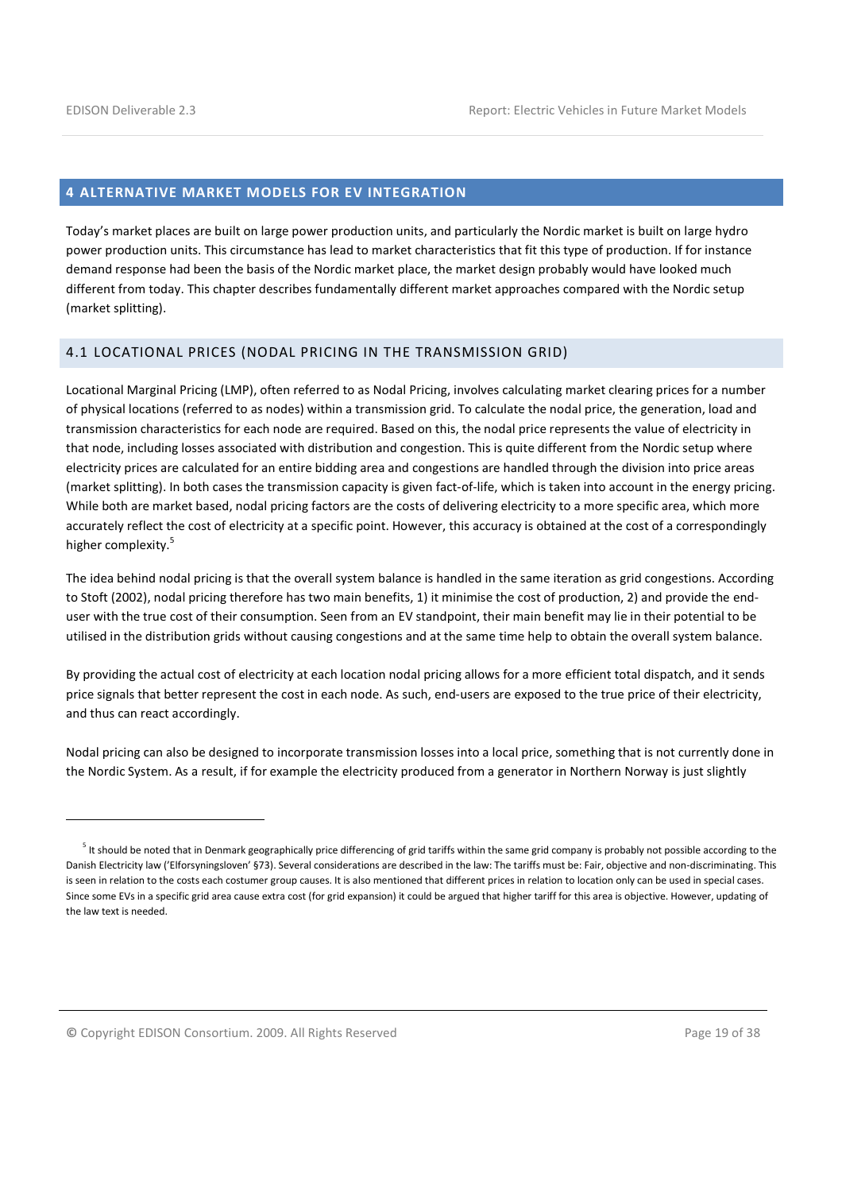l

#### 4 ALTERNATIVE MARKET MODELS FOR EV INTEGRATION

Today's market places are built on large power production units, and particularly the Nordic market is built on large hydro power production units. This circumstance has lead to market characteristics that fit this type of production. If for instance demand response had been the basis of the Nordic market place, the market design probably would have looked much different from today. This chapter describes fundamentally different market approaches compared with the Nordic setup (market splitting).

## 4.1 LOCATIONAL PRICES (NODAL PRICING IN THE TRANSMISSION GRID)

Locational Marginal Pricing (LMP), often referred to as Nodal Pricing, involves calculating market clearing prices for a number of physical locations (referred to as nodes) within a transmission grid. To calculate the nodal price, the generation, load and transmission characteristics for each node are required. Based on this, the nodal price represents the value of electricity in that node, including losses associated with distribution and congestion. This is quite different from the Nordic setup where electricity prices are calculated for an entire bidding area and congestions are handled through the division into price areas (market splitting). In both cases the transmission capacity is given fact-of-life, which is taken into account in the energy pricing. While both are market based, nodal pricing factors are the costs of delivering electricity to a more specific area, which more accurately reflect the cost of electricity at a specific point. However, this accuracy is obtained at the cost of a correspondingly higher complexity.<sup>5</sup>

The idea behind nodal pricing is that the overall system balance is handled in the same iteration as grid congestions. According to Stoft (2002), nodal pricing therefore has two main benefits, 1) it minimise the cost of production, 2) and provide the enduser with the true cost of their consumption. Seen from an EV standpoint, their main benefit may lie in their potential to be utilised in the distribution grids without causing congestions and at the same time help to obtain the overall system balance.

By providing the actual cost of electricity at each location nodal pricing allows for a more efficient total dispatch, and it sends price signals that better represent the cost in each node. As such, end-users are exposed to the true price of their electricity, and thus can react accordingly.

Nodal pricing can also be designed to incorporate transmission losses into a local price, something that is not currently done in the Nordic System. As a result, if for example the electricity produced from a generator in Northern Norway is just slightly

<sup>&</sup>lt;sup>5</sup> It should be noted that in Denmark geographically price differencing of grid tariffs within the same grid company is probably not possible according to the Danish Electricity law ('Elforsyningsloven' §73). Several considerations are described in the law: The tariffs must be: Fair, objective and non-discriminating. This is seen in relation to the costs each costumer group causes. It is also mentioned that different prices in relation to location only can be used in special cases. Since some EVs in a specific grid area cause extra cost (for grid expansion) it could be argued that higher tariff for this area is objective. However, updating of the law text is needed.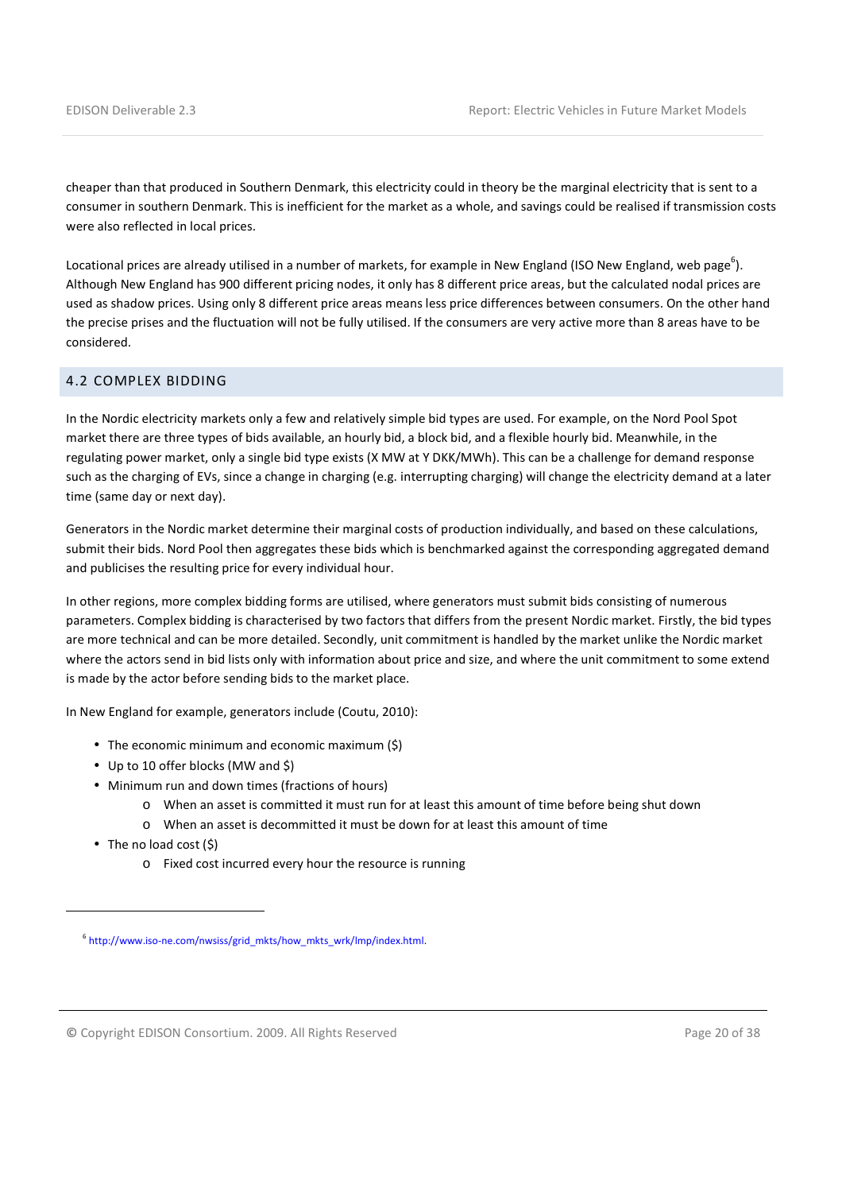cheaper than that produced in Southern Denmark, this electricity could in theory be the marginal electricity that is sent to a consumer in southern Denmark. This is inefficient for the market as a whole, and savings could be realised if transmission costs were also reflected in local prices.

Locational prices are already utilised in a number of markets, for example in New England (ISO New England, web page<sup>6</sup>). Although New England has 900 different pricing nodes, it only has 8 different price areas, but the calculated nodal prices are used as shadow prices. Using only 8 different price areas means less price differences between consumers. On the other hand the precise prises and the fluctuation will not be fully utilised. If the consumers are very active more than 8 areas have to be considered.

## 4.2 COMPLEX BIDDING

In the Nordic electricity markets only a few and relatively simple bid types are used. For example, on the Nord Pool Spot market there are three types of bids available, an hourly bid, a block bid, and a flexible hourly bid. Meanwhile, in the regulating power market, only a single bid type exists (X MW at Y DKK/MWh). This can be a challenge for demand response such as the charging of EVs, since a change in charging (e.g. interrupting charging) will change the electricity demand at a later time (same day or next day).

Generators in the Nordic market determine their marginal costs of production individually, and based on these calculations, submit their bids. Nord Pool then aggregates these bids which is benchmarked against the corresponding aggregated demand and publicises the resulting price for every individual hour.

In other regions, more complex bidding forms are utilised, where generators must submit bids consisting of numerous parameters. Complex bidding is characterised by two factors that differs from the present Nordic market. Firstly, the bid types are more technical and can be more detailed. Secondly, unit commitment is handled by the market unlike the Nordic market where the actors send in bid lists only with information about price and size, and where the unit commitment to some extend is made by the actor before sending bids to the market place.

In New England for example, generators include (Coutu, 2010):

- The economic minimum and economic maximum (\$)
- Up to 10 offer blocks (MW and \$)
- Minimum run and down times (fractions of hours)
	- o When an asset is committed it must run for at least this amount of time before being shut down
	- o When an asset is decommitted it must be down for at least this amount of time
- The no load cost (\$)

 $\overline{a}$ 

o Fixed cost incurred every hour the resource is running

© Copyright EDISON Consortium. 2009. All Rights Reserved Page 20 of 38

<sup>6</sup> http://www.iso-ne.com/nwsiss/grid\_mkts/how\_mkts\_wrk/lmp/index.html.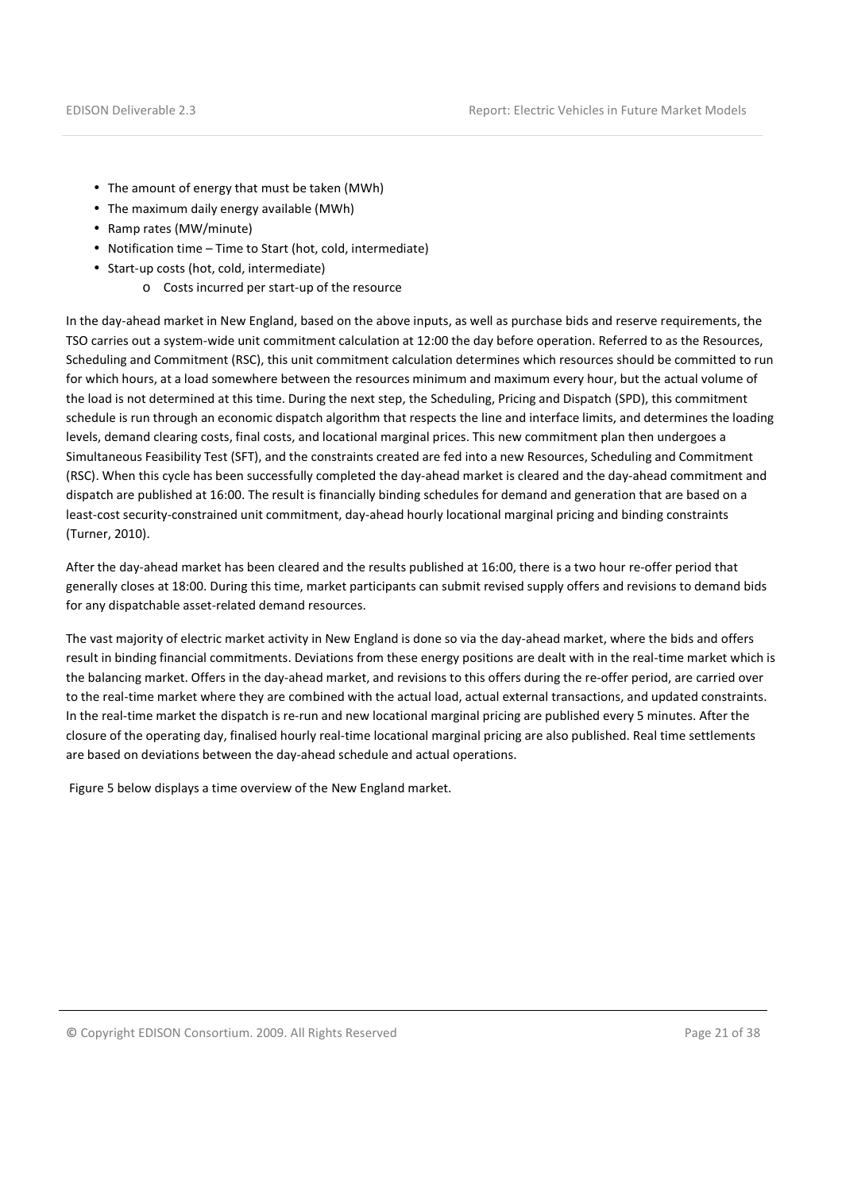- The amount of energy that must be taken (MWh)
- The maximum daily energy available (MWh)
- Ramp rates (MW/minute)
- Notification time Time to Start (hot, cold, intermediate)
- Start-up costs (hot, cold, intermediate)
	- o Costs incurred per start-up of the resource

In the day-ahead market in New England, based on the above inputs, as well as purchase bids and reserve requirements, the TSO carries out a system-wide unit commitment calculation at 12:00 the day before operation. Referred to as the Resources, Scheduling and Commitment (RSC), this unit commitment calculation determines which resources should be committed to run for which hours, at a load somewhere between the resources minimum and maximum every hour, but the actual volume of the load is not determined at this time. During the next step, the Scheduling, Pricing and Dispatch (SPD), this commitment schedule is run through an economic dispatch algorithm that respects the line and interface limits, and determines the loading levels, demand clearing costs, final costs, and locational marginal prices. This new commitment plan then undergoes a Simultaneous Feasibility Test (SFT), and the constraints created are fed into a new Resources, Scheduling and Commitment (RSC). When this cycle has been successfully completed the day-ahead market is cleared and the day-ahead commitment and dispatch are published at 16:00. The result is financially binding schedules for demand and generation that are based on a least-cost security-constrained unit commitment, day-ahead hourly locational marginal pricing and binding constraints (Turner, 2010).

After the day-ahead market has been cleared and the results published at 16:00, there is a two hour re-offer period that generally closes at 18:00. During this time, market participants can submit revised supply offers and revisions to demand bids for any dispatchable asset-related demand resources.

The vast majority of electric market activity in New England is done so via the day-ahead market, where the bids and offers result in binding financial commitments. Deviations from these energy positions are dealt with in the real-time market which is the balancing market. Offers in the day-ahead market, and revisions to this offers during the re-offer period, are carried over to the real-time market where they are combined with the actual load, actual external transactions, and updated constraints. In the real-time market the dispatch is re-run and new locational marginal pricing are published every 5 minutes. After the closure of the operating day, finalised hourly real-time locational marginal pricing are also published. Real time settlements are based on deviations between the day-ahead schedule and actual operations.

Figure 5 below displays a time overview of the New England market.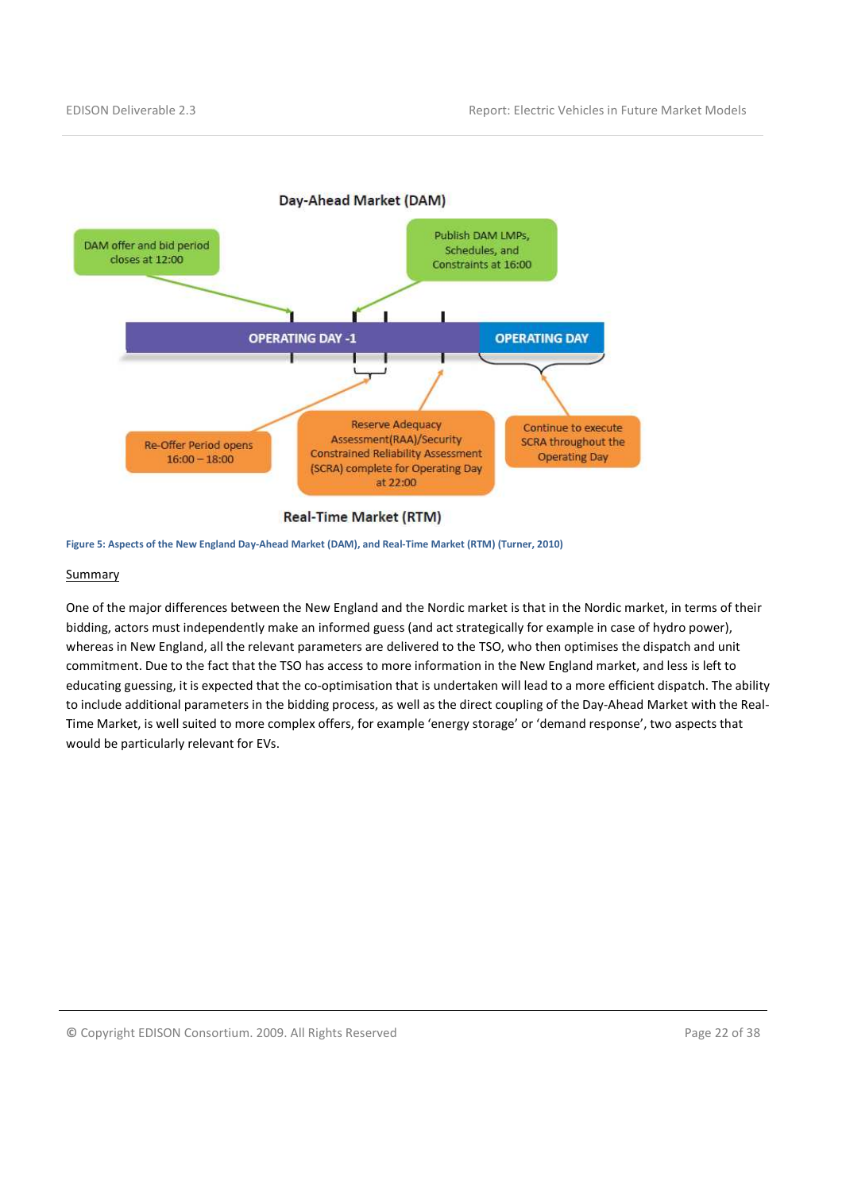

#### **Real-Time Market (RTM)**

Figure 5: Aspects of the New England Day-Ahead Market (DAM), and Real-Time Market (RTM) (Turner, 2010)

#### **Summary**

One of the major differences between the New England and the Nordic market is that in the Nordic market, in terms of their bidding, actors must independently make an informed guess (and act strategically for example in case of hydro power), whereas in New England, all the relevant parameters are delivered to the TSO, who then optimises the dispatch and unit commitment. Due to the fact that the TSO has access to more information in the New England market, and less is left to educating guessing, it is expected that the co-optimisation that is undertaken will lead to a more efficient dispatch. The ability to include additional parameters in the bidding process, as well as the direct coupling of the Day-Ahead Market with the Real-Time Market, is well suited to more complex offers, for example 'energy storage' or 'demand response', two aspects that would be particularly relevant for EVs.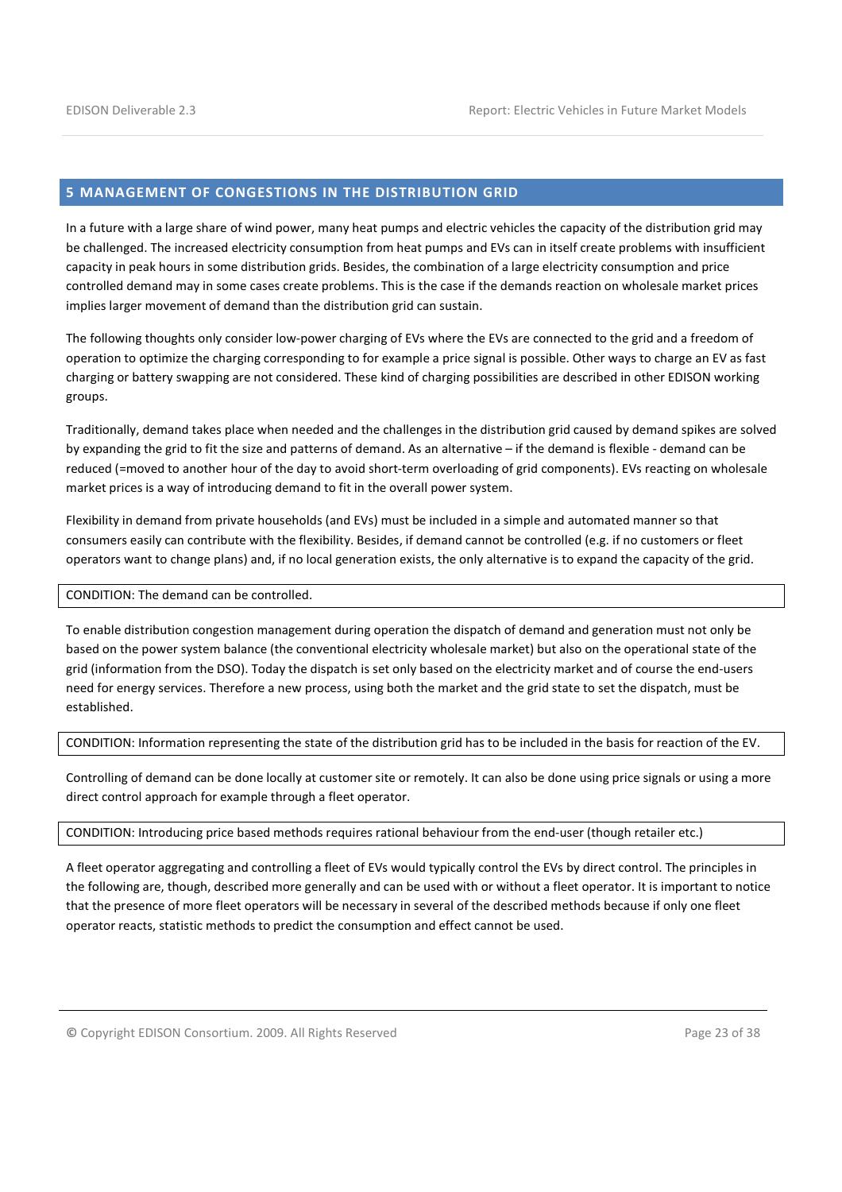#### 5 MANAGEMENT OF CONGESTIONS IN THE DISTRIBUTION GRID

In a future with a large share of wind power, many heat pumps and electric vehicles the capacity of the distribution grid may be challenged. The increased electricity consumption from heat pumps and EVs can in itself create problems with insufficient capacity in peak hours in some distribution grids. Besides, the combination of a large electricity consumption and price controlled demand may in some cases create problems. This is the case if the demands reaction on wholesale market prices implies larger movement of demand than the distribution grid can sustain.

The following thoughts only consider low-power charging of EVs where the EVs are connected to the grid and a freedom of operation to optimize the charging corresponding to for example a price signal is possible. Other ways to charge an EV as fast charging or battery swapping are not considered. These kind of charging possibilities are described in other EDISON working groups.

Traditionally, demand takes place when needed and the challenges in the distribution grid caused by demand spikes are solved by expanding the grid to fit the size and patterns of demand. As an alternative – if the demand is flexible - demand can be reduced (=moved to another hour of the day to avoid short-term overloading of grid components). EVs reacting on wholesale market prices is a way of introducing demand to fit in the overall power system.

Flexibility in demand from private households (and EVs) must be included in a simple and automated manner so that consumers easily can contribute with the flexibility. Besides, if demand cannot be controlled (e.g. if no customers or fleet operators want to change plans) and, if no local generation exists, the only alternative is to expand the capacity of the grid.

CONDITION: The demand can be controlled.

To enable distribution congestion management during operation the dispatch of demand and generation must not only be based on the power system balance (the conventional electricity wholesale market) but also on the operational state of the grid (information from the DSO). Today the dispatch is set only based on the electricity market and of course the end-users need for energy services. Therefore a new process, using both the market and the grid state to set the dispatch, must be established.

CONDITION: Information representing the state of the distribution grid has to be included in the basis for reaction of the EV.

Controlling of demand can be done locally at customer site or remotely. It can also be done using price signals or using a more direct control approach for example through a fleet operator.

CONDITION: Introducing price based methods requires rational behaviour from the end-user (though retailer etc.)

A fleet operator aggregating and controlling a fleet of EVs would typically control the EVs by direct control. The principles in the following are, though, described more generally and can be used with or without a fleet operator. It is important to notice that the presence of more fleet operators will be necessary in several of the described methods because if only one fleet operator reacts, statistic methods to predict the consumption and effect cannot be used.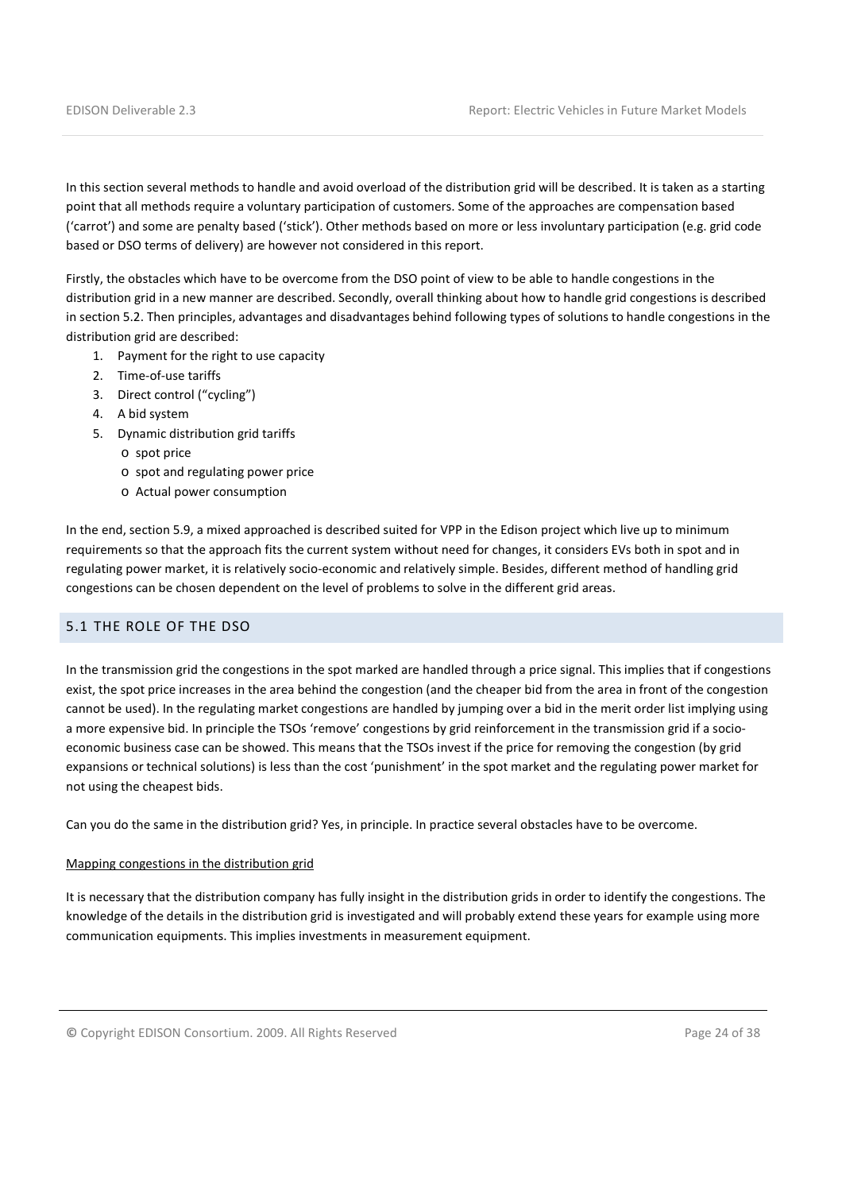In this section several methods to handle and avoid overload of the distribution grid will be described. It is taken as a starting point that all methods require a voluntary participation of customers. Some of the approaches are compensation based ('carrot') and some are penalty based ('stick'). Other methods based on more or less involuntary participation (e.g. grid code based or DSO terms of delivery) are however not considered in this report.

Firstly, the obstacles which have to be overcome from the DSO point of view to be able to handle congestions in the distribution grid in a new manner are described. Secondly, overall thinking about how to handle grid congestions is described in section 5.2. Then principles, advantages and disadvantages behind following types of solutions to handle congestions in the distribution grid are described:

- 1. Payment for the right to use capacity
- 2. Time-of-use tariffs
- 3. Direct control ("cycling")
- 4. A bid system
- 5. Dynamic distribution grid tariffs
	- o spot price
	- o spot and regulating power price
	- o Actual power consumption

In the end, section 5.9, a mixed approached is described suited for VPP in the Edison project which live up to minimum requirements so that the approach fits the current system without need for changes, it considers EVs both in spot and in regulating power market, it is relatively socio-economic and relatively simple. Besides, different method of handling grid congestions can be chosen dependent on the level of problems to solve in the different grid areas.

#### 5.1 THE ROLE OF THE DSO

In the transmission grid the congestions in the spot marked are handled through a price signal. This implies that if congestions exist, the spot price increases in the area behind the congestion (and the cheaper bid from the area in front of the congestion cannot be used). In the regulating market congestions are handled by jumping over a bid in the merit order list implying using a more expensive bid. In principle the TSOs 'remove' congestions by grid reinforcement in the transmission grid if a socioeconomic business case can be showed. This means that the TSOs invest if the price for removing the congestion (by grid expansions or technical solutions) is less than the cost 'punishment' in the spot market and the regulating power market for not using the cheapest bids.

Can you do the same in the distribution grid? Yes, in principle. In practice several obstacles have to be overcome.

#### Mapping congestions in the distribution grid

It is necessary that the distribution company has fully insight in the distribution grids in order to identify the congestions. The knowledge of the details in the distribution grid is investigated and will probably extend these years for example using more communication equipments. This implies investments in measurement equipment.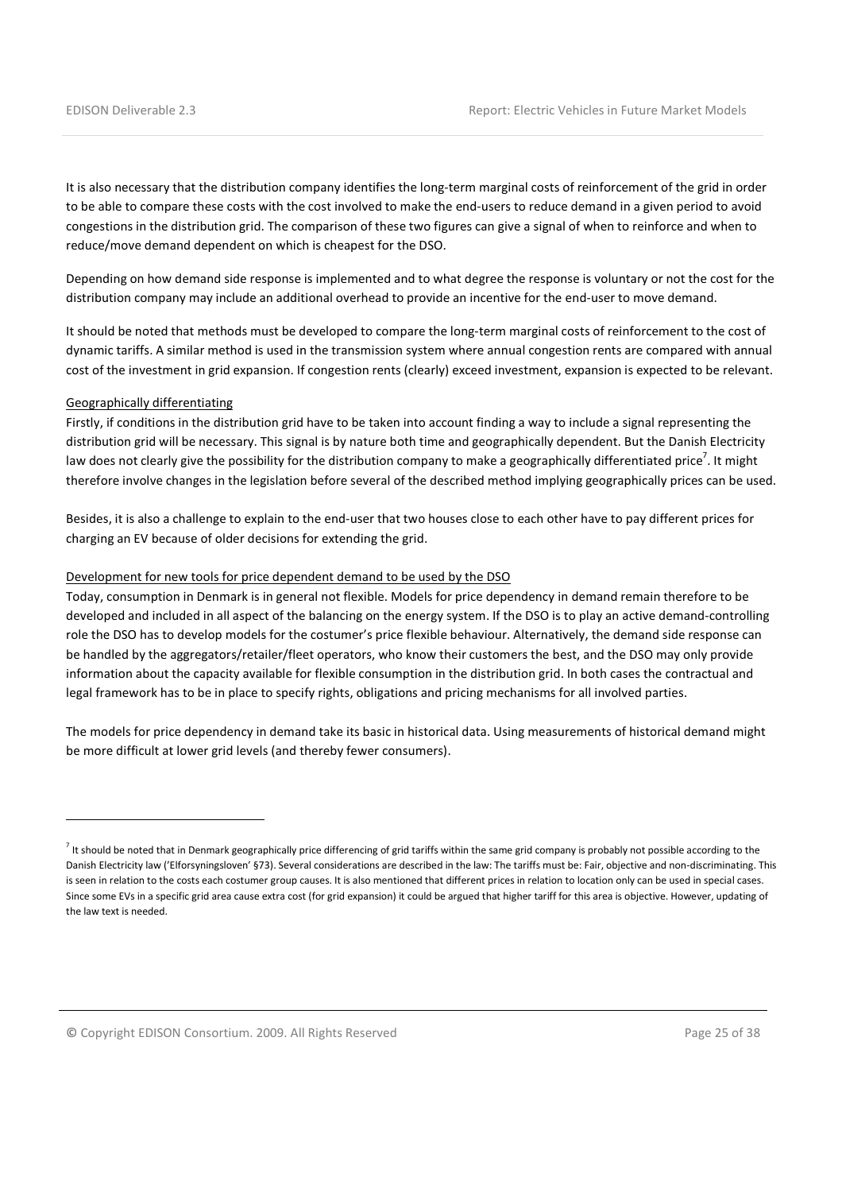It is also necessary that the distribution company identifies the long-term marginal costs of reinforcement of the grid in order to be able to compare these costs with the cost involved to make the end-users to reduce demand in a given period to avoid congestions in the distribution grid. The comparison of these two figures can give a signal of when to reinforce and when to reduce/move demand dependent on which is cheapest for the DSO.

Depending on how demand side response is implemented and to what degree the response is voluntary or not the cost for the distribution company may include an additional overhead to provide an incentive for the end-user to move demand.

It should be noted that methods must be developed to compare the long-term marginal costs of reinforcement to the cost of dynamic tariffs. A similar method is used in the transmission system where annual congestion rents are compared with annual cost of the investment in grid expansion. If congestion rents (clearly) exceed investment, expansion is expected to be relevant.

#### Geographically differentiating

l

Firstly, if conditions in the distribution grid have to be taken into account finding a way to include a signal representing the distribution grid will be necessary. This signal is by nature both time and geographically dependent. But the Danish Electricity law does not clearly give the possibility for the distribution company to make a geographically differentiated price<sup>7</sup>. It might therefore involve changes in the legislation before several of the described method implying geographically prices can be used.

Besides, it is also a challenge to explain to the end-user that two houses close to each other have to pay different prices for charging an EV because of older decisions for extending the grid.

#### Development for new tools for price dependent demand to be used by the DSO

Today, consumption in Denmark is in general not flexible. Models for price dependency in demand remain therefore to be developed and included in all aspect of the balancing on the energy system. If the DSO is to play an active demand-controlling role the DSO has to develop models for the costumer's price flexible behaviour. Alternatively, the demand side response can be handled by the aggregators/retailer/fleet operators, who know their customers the best, and the DSO may only provide information about the capacity available for flexible consumption in the distribution grid. In both cases the contractual and legal framework has to be in place to specify rights, obligations and pricing mechanisms for all involved parties.

The models for price dependency in demand take its basic in historical data. Using measurements of historical demand might be more difficult at lower grid levels (and thereby fewer consumers).

 $^7$  It should be noted that in Denmark geographically price differencing of grid tariffs within the same grid company is probably not possible according to the Danish Electricity law ('Elforsyningsloven' §73). Several considerations are described in the law: The tariffs must be: Fair, objective and non-discriminating. This is seen in relation to the costs each costumer group causes. It is also mentioned that different prices in relation to location only can be used in special cases. Since some EVs in a specific grid area cause extra cost (for grid expansion) it could be argued that higher tariff for this area is objective. However, updating of the law text is needed.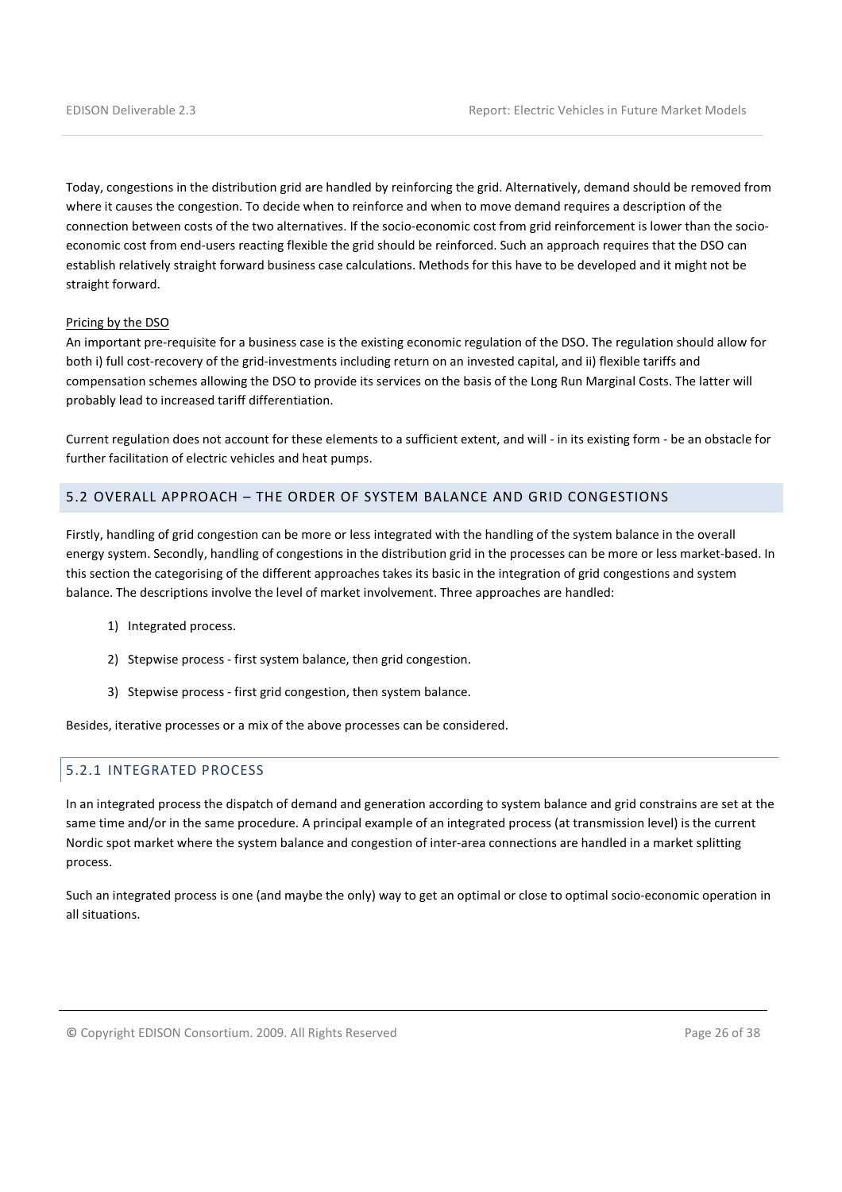Today, congestions in the distribution grid are handled by reinforcing the grid. Alternatively, demand should be removed from where it causes the congestion. To decide when to reinforce and when to move demand requires a description of the connection between costs of the two alternatives. If the socio-economic cost from grid reinforcement is lower than the socioeconomic cost from end-users reacting flexible the grid should be reinforced. Such an approach requires that the DSO can establish relatively straight forward business case calculations. Methods for this have to be developed and it might not be straight forward.

#### Pricing by the DSO

An important pre-requisite for a business case is the existing economic regulation of the DSO. The regulation should allow for both i) full cost-recovery of the grid-investments including return on an invested capital, and ii) flexible tariffs and compensation schemes allowing the DSO to provide its services on the basis of the Long Run Marginal Costs. The latter will probably lead to increased tariff differentiation.

Current regulation does not account for these elements to a sufficient extent, and will - in its existing form - be an obstacle for further facilitation of electric vehicles and heat pumps.

## 5.2 OVERALL APPROACH – THE ORDER OF SYSTEM BALANCE AND GRID CONGESTIONS

Firstly, handling of grid congestion can be more or less integrated with the handling of the system balance in the overall energy system. Secondly, handling of congestions in the distribution grid in the processes can be more or less market-based. In this section the categorising of the different approaches takes its basic in the integration of grid congestions and system balance. The descriptions involve the level of market involvement. Three approaches are handled:

- 1) Integrated process.
- 2) Stepwise process first system balance, then grid congestion.
- 3) Stepwise process first grid congestion, then system balance.

Besides, iterative processes or a mix of the above processes can be considered.

#### 5.2.1 INTEGRATED PROCESS

In an integrated process the dispatch of demand and generation according to system balance and grid constrains are set at the same time and/or in the same procedure. A principal example of an integrated process (at transmission level) is the current Nordic spot market where the system balance and congestion of inter-area connections are handled in a market splitting process.

Such an integrated process is one (and maybe the only) way to get an optimal or close to optimal socio-economic operation in all situations.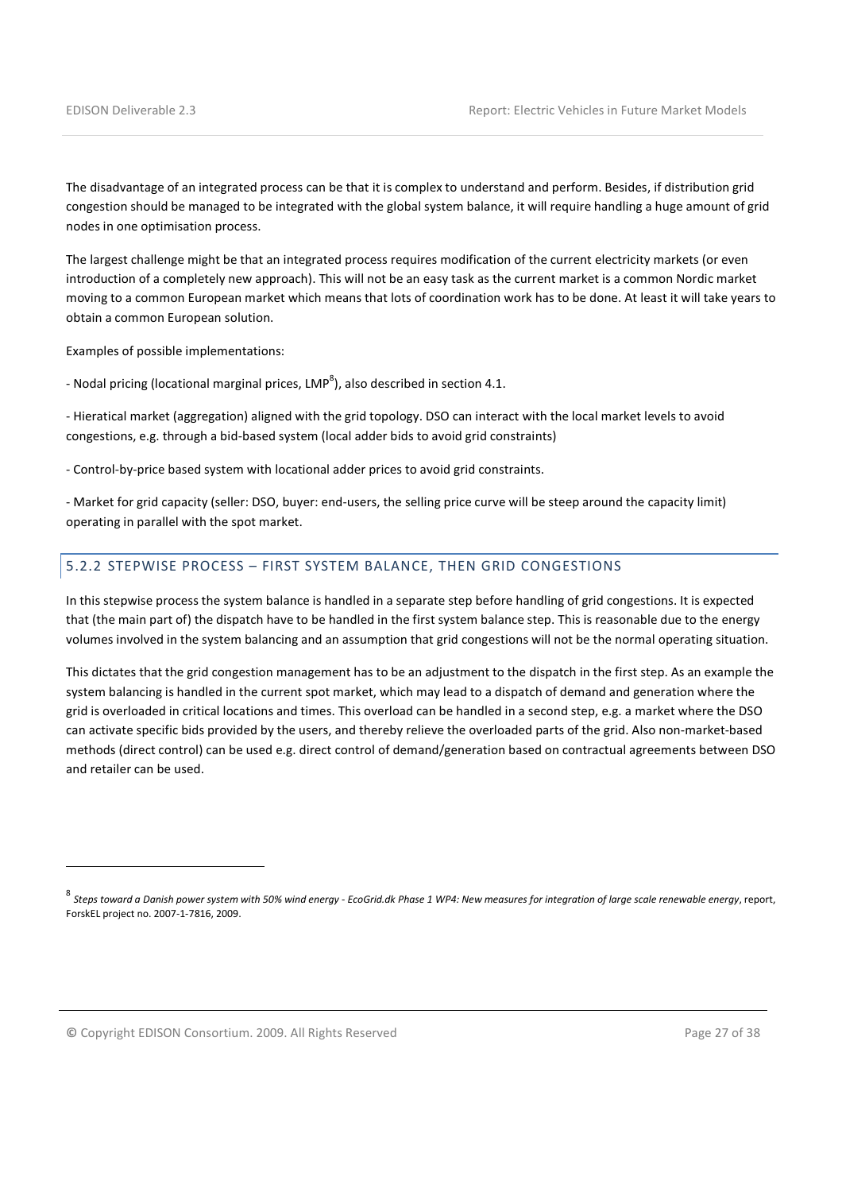The disadvantage of an integrated process can be that it is complex to understand and perform. Besides, if distribution grid congestion should be managed to be integrated with the global system balance, it will require handling a huge amount of grid nodes in one optimisation process.

The largest challenge might be that an integrated process requires modification of the current electricity markets (or even introduction of a completely new approach). This will not be an easy task as the current market is a common Nordic market moving to a common European market which means that lots of coordination work has to be done. At least it will take years to obtain a common European solution.

Examples of possible implementations:

- Nodal pricing (locational marginal prices, LMP<sup>8</sup>), also described in section 4.1.

- Hieratical market (aggregation) aligned with the grid topology. DSO can interact with the local market levels to avoid congestions, e.g. through a bid-based system (local adder bids to avoid grid constraints)

- Control-by-price based system with locational adder prices to avoid grid constraints.

- Market for grid capacity (seller: DSO, buyer: end-users, the selling price curve will be steep around the capacity limit) operating in parallel with the spot market.

#### 5.2.2 STEPWISE PROCESS – FIRST SYSTEM BALANCE, THEN GRID CONGESTIONS

In this stepwise process the system balance is handled in a separate step before handling of grid congestions. It is expected that (the main part of) the dispatch have to be handled in the first system balance step. This is reasonable due to the energy volumes involved in the system balancing and an assumption that grid congestions will not be the normal operating situation.

This dictates that the grid congestion management has to be an adjustment to the dispatch in the first step. As an example the system balancing is handled in the current spot market, which may lead to a dispatch of demand and generation where the grid is overloaded in critical locations and times. This overload can be handled in a second step, e.g. a market where the DSO can activate specific bids provided by the users, and thereby relieve the overloaded parts of the grid. Also non-market-based methods (direct control) can be used e.g. direct control of demand/generation based on contractual agreements between DSO and retailer can be used.

© Copyright EDISON Consortium. 2009. All Rights Reserved Page 27 of 38

 $\overline{a}$ 

<sup>&</sup>lt;sub>8</sub><br>8 Steps toward a Danish power system with 50% wind energy - EcoGrid.dk Phase 1 WP4: New measures for integration of large scale renewable energy, report, ForskEL project no. 2007-1-7816, 2009.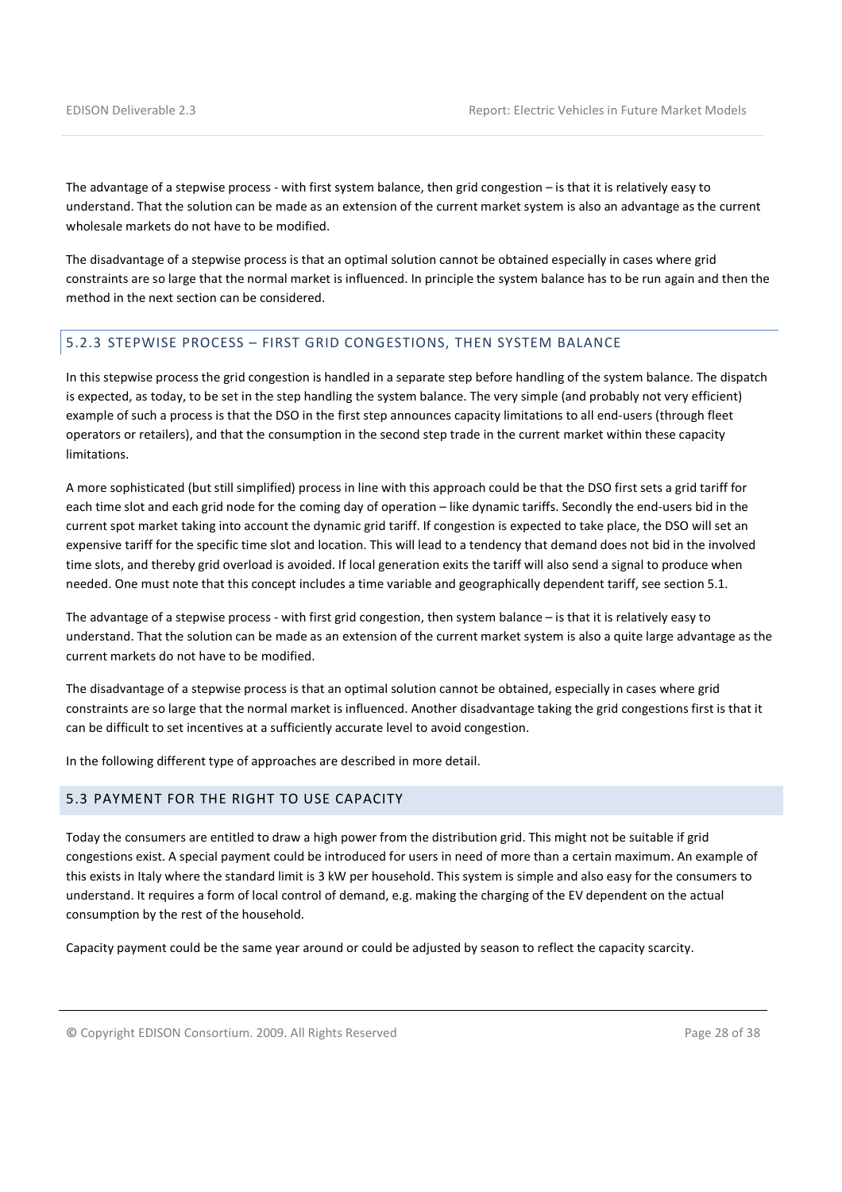The advantage of a stepwise process - with first system balance, then grid congestion – is that it is relatively easy to understand. That the solution can be made as an extension of the current market system is also an advantage as the current wholesale markets do not have to be modified.

The disadvantage of a stepwise process is that an optimal solution cannot be obtained especially in cases where grid constraints are so large that the normal market is influenced. In principle the system balance has to be run again and then the method in the next section can be considered.

## 5.2.3 STEPWISE PROCESS – FIRST GRID CONGESTIONS, THEN SYSTEM BALANCE

In this stepwise process the grid congestion is handled in a separate step before handling of the system balance. The dispatch is expected, as today, to be set in the step handling the system balance. The very simple (and probably not very efficient) example of such a process is that the DSO in the first step announces capacity limitations to all end-users (through fleet operators or retailers), and that the consumption in the second step trade in the current market within these capacity limitations.

A more sophisticated (but still simplified) process in line with this approach could be that the DSO first sets a grid tariff for each time slot and each grid node for the coming day of operation – like dynamic tariffs. Secondly the end-users bid in the current spot market taking into account the dynamic grid tariff. If congestion is expected to take place, the DSO will set an expensive tariff for the specific time slot and location. This will lead to a tendency that demand does not bid in the involved time slots, and thereby grid overload is avoided. If local generation exits the tariff will also send a signal to produce when needed. One must note that this concept includes a time variable and geographically dependent tariff, see section 5.1.

The advantage of a stepwise process - with first grid congestion, then system balance – is that it is relatively easy to understand. That the solution can be made as an extension of the current market system is also a quite large advantage as the current markets do not have to be modified.

The disadvantage of a stepwise process is that an optimal solution cannot be obtained, especially in cases where grid constraints are so large that the normal market is influenced. Another disadvantage taking the grid congestions first is that it can be difficult to set incentives at a sufficiently accurate level to avoid congestion.

In the following different type of approaches are described in more detail.

## 5.3 PAYMENT FOR THE RIGHT TO USE CAPACITY

Today the consumers are entitled to draw a high power from the distribution grid. This might not be suitable if grid congestions exist. A special payment could be introduced for users in need of more than a certain maximum. An example of this exists in Italy where the standard limit is 3 kW per household. This system is simple and also easy for the consumers to understand. It requires a form of local control of demand, e.g. making the charging of the EV dependent on the actual consumption by the rest of the household.

Capacity payment could be the same year around or could be adjusted by season to reflect the capacity scarcity.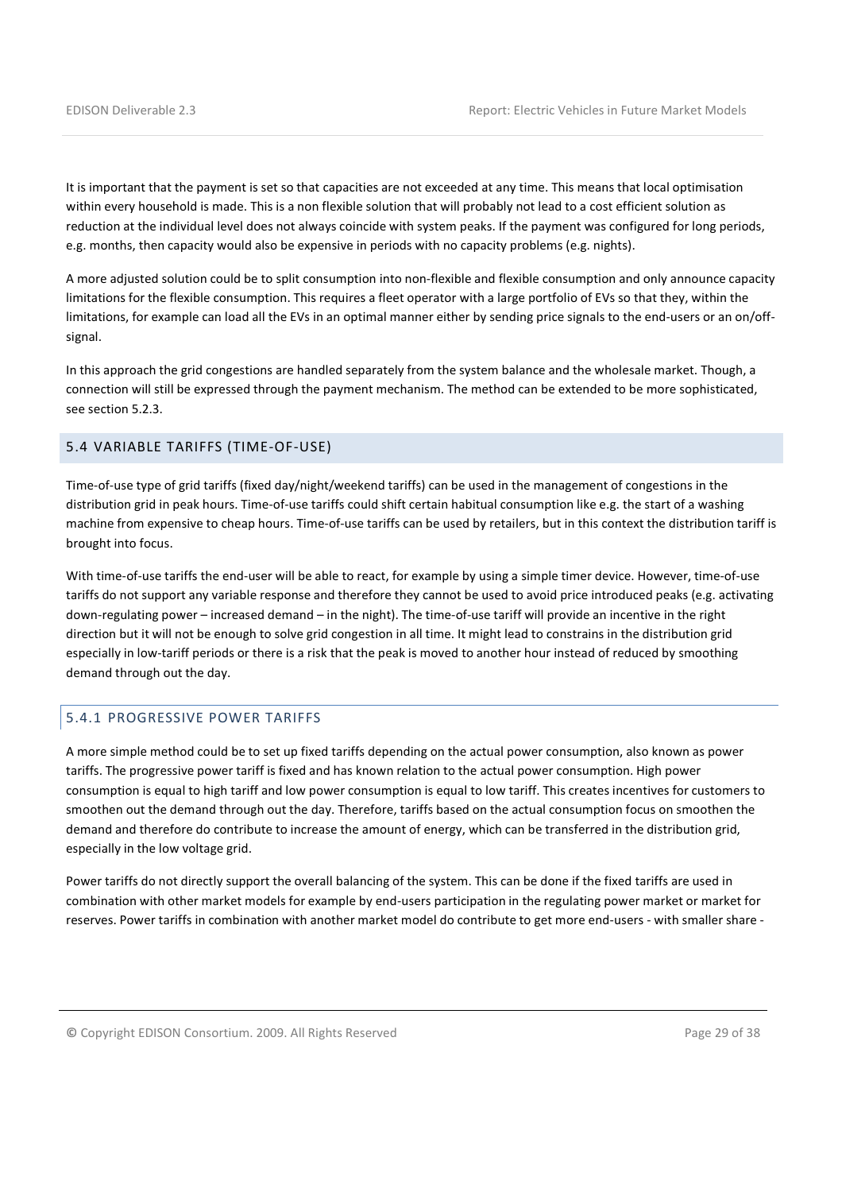It is important that the payment is set so that capacities are not exceeded at any time. This means that local optimisation within every household is made. This is a non flexible solution that will probably not lead to a cost efficient solution as reduction at the individual level does not always coincide with system peaks. If the payment was configured for long periods, e.g. months, then capacity would also be expensive in periods with no capacity problems (e.g. nights).

A more adjusted solution could be to split consumption into non-flexible and flexible consumption and only announce capacity limitations for the flexible consumption. This requires a fleet operator with a large portfolio of EVs so that they, within the limitations, for example can load all the EVs in an optimal manner either by sending price signals to the end-users or an on/offsignal.

In this approach the grid congestions are handled separately from the system balance and the wholesale market. Though, a connection will still be expressed through the payment mechanism. The method can be extended to be more sophisticated, see section 5.2.3.

## 5.4 VARIABLE TARIFFS (TIME-OF-USE)

Time-of-use type of grid tariffs (fixed day/night/weekend tariffs) can be used in the management of congestions in the distribution grid in peak hours. Time-of-use tariffs could shift certain habitual consumption like e.g. the start of a washing machine from expensive to cheap hours. Time-of-use tariffs can be used by retailers, but in this context the distribution tariff is brought into focus.

With time-of-use tariffs the end-user will be able to react, for example by using a simple timer device. However, time-of-use tariffs do not support any variable response and therefore they cannot be used to avoid price introduced peaks (e.g. activating down-regulating power – increased demand – in the night). The time-of-use tariff will provide an incentive in the right direction but it will not be enough to solve grid congestion in all time. It might lead to constrains in the distribution grid especially in low-tariff periods or there is a risk that the peak is moved to another hour instead of reduced by smoothing demand through out the day.

## 5.4.1 PROGRESSIVE POWER TARIFFS

A more simple method could be to set up fixed tariffs depending on the actual power consumption, also known as power tariffs. The progressive power tariff is fixed and has known relation to the actual power consumption. High power consumption is equal to high tariff and low power consumption is equal to low tariff. This creates incentives for customers to smoothen out the demand through out the day. Therefore, tariffs based on the actual consumption focus on smoothen the demand and therefore do contribute to increase the amount of energy, which can be transferred in the distribution grid, especially in the low voltage grid.

Power tariffs do not directly support the overall balancing of the system. This can be done if the fixed tariffs are used in combination with other market models for example by end-users participation in the regulating power market or market for reserves. Power tariffs in combination with another market model do contribute to get more end-users - with smaller share -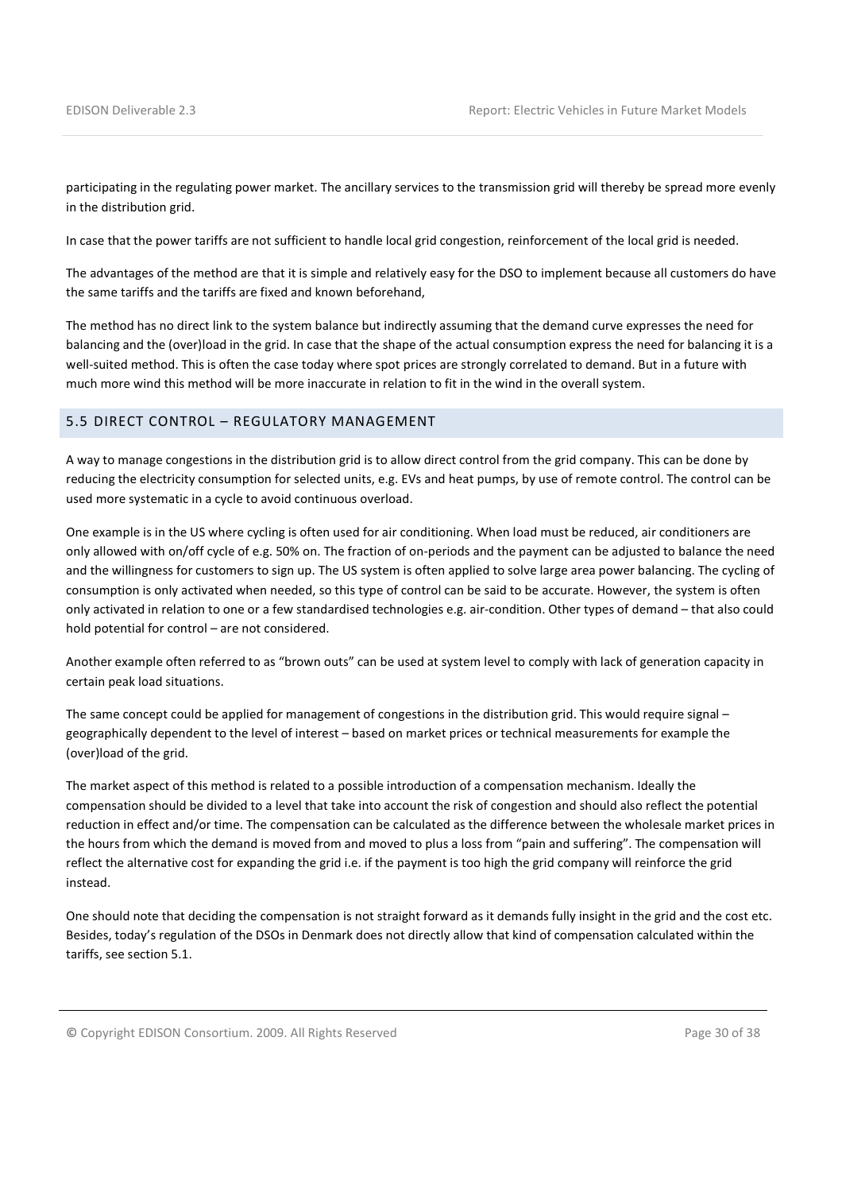participating in the regulating power market. The ancillary services to the transmission grid will thereby be spread more evenly in the distribution grid.

In case that the power tariffs are not sufficient to handle local grid congestion, reinforcement of the local grid is needed.

The advantages of the method are that it is simple and relatively easy for the DSO to implement because all customers do have the same tariffs and the tariffs are fixed and known beforehand,

The method has no direct link to the system balance but indirectly assuming that the demand curve expresses the need for balancing and the (over)load in the grid. In case that the shape of the actual consumption express the need for balancing it is a well-suited method. This is often the case today where spot prices are strongly correlated to demand. But in a future with much more wind this method will be more inaccurate in relation to fit in the wind in the overall system.

#### 5.5 DIRECT CONTROL – REGULATORY MANAGEMENT

A way to manage congestions in the distribution grid is to allow direct control from the grid company. This can be done by reducing the electricity consumption for selected units, e.g. EVs and heat pumps, by use of remote control. The control can be used more systematic in a cycle to avoid continuous overload.

One example is in the US where cycling is often used for air conditioning. When load must be reduced, air conditioners are only allowed with on/off cycle of e.g. 50% on. The fraction of on-periods and the payment can be adjusted to balance the need and the willingness for customers to sign up. The US system is often applied to solve large area power balancing. The cycling of consumption is only activated when needed, so this type of control can be said to be accurate. However, the system is often only activated in relation to one or a few standardised technologies e.g. air-condition. Other types of demand – that also could hold potential for control – are not considered.

Another example often referred to as "brown outs" can be used at system level to comply with lack of generation capacity in certain peak load situations.

The same concept could be applied for management of congestions in the distribution grid. This would require signal – geographically dependent to the level of interest – based on market prices or technical measurements for example the (over)load of the grid.

The market aspect of this method is related to a possible introduction of a compensation mechanism. Ideally the compensation should be divided to a level that take into account the risk of congestion and should also reflect the potential reduction in effect and/or time. The compensation can be calculated as the difference between the wholesale market prices in the hours from which the demand is moved from and moved to plus a loss from "pain and suffering". The compensation will reflect the alternative cost for expanding the grid i.e. if the payment is too high the grid company will reinforce the grid instead.

One should note that deciding the compensation is not straight forward as it demands fully insight in the grid and the cost etc. Besides, today's regulation of the DSOs in Denmark does not directly allow that kind of compensation calculated within the tariffs, see section 5.1.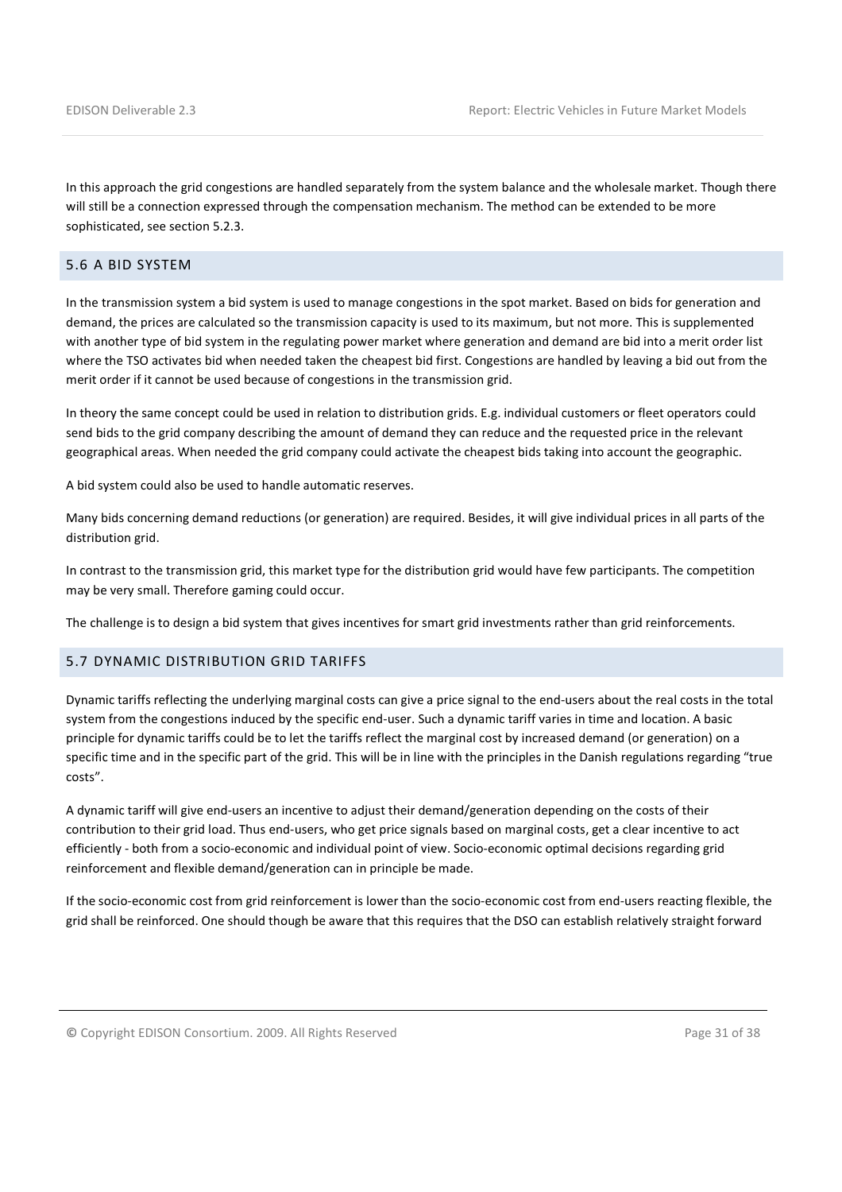In this approach the grid congestions are handled separately from the system balance and the wholesale market. Though there will still be a connection expressed through the compensation mechanism. The method can be extended to be more sophisticated, see section 5.2.3.

## 5.6 A BID SYSTEM

In the transmission system a bid system is used to manage congestions in the spot market. Based on bids for generation and demand, the prices are calculated so the transmission capacity is used to its maximum, but not more. This is supplemented with another type of bid system in the regulating power market where generation and demand are bid into a merit order list where the TSO activates bid when needed taken the cheapest bid first. Congestions are handled by leaving a bid out from the merit order if it cannot be used because of congestions in the transmission grid.

In theory the same concept could be used in relation to distribution grids. E.g. individual customers or fleet operators could send bids to the grid company describing the amount of demand they can reduce and the requested price in the relevant geographical areas. When needed the grid company could activate the cheapest bids taking into account the geographic.

A bid system could also be used to handle automatic reserves.

Many bids concerning demand reductions (or generation) are required. Besides, it will give individual prices in all parts of the distribution grid.

In contrast to the transmission grid, this market type for the distribution grid would have few participants. The competition may be very small. Therefore gaming could occur.

The challenge is to design a bid system that gives incentives for smart grid investments rather than grid reinforcements.

#### 5.7 DYNAMIC DISTRIBUTION GRID TARIFFS

Dynamic tariffs reflecting the underlying marginal costs can give a price signal to the end-users about the real costs in the total system from the congestions induced by the specific end-user. Such a dynamic tariff varies in time and location. A basic principle for dynamic tariffs could be to let the tariffs reflect the marginal cost by increased demand (or generation) on a specific time and in the specific part of the grid. This will be in line with the principles in the Danish regulations regarding "true costs".

A dynamic tariff will give end-users an incentive to adjust their demand/generation depending on the costs of their contribution to their grid load. Thus end-users, who get price signals based on marginal costs, get a clear incentive to act efficiently - both from a socio-economic and individual point of view. Socio-economic optimal decisions regarding grid reinforcement and flexible demand/generation can in principle be made.

If the socio-economic cost from grid reinforcement is lower than the socio-economic cost from end-users reacting flexible, the grid shall be reinforced. One should though be aware that this requires that the DSO can establish relatively straight forward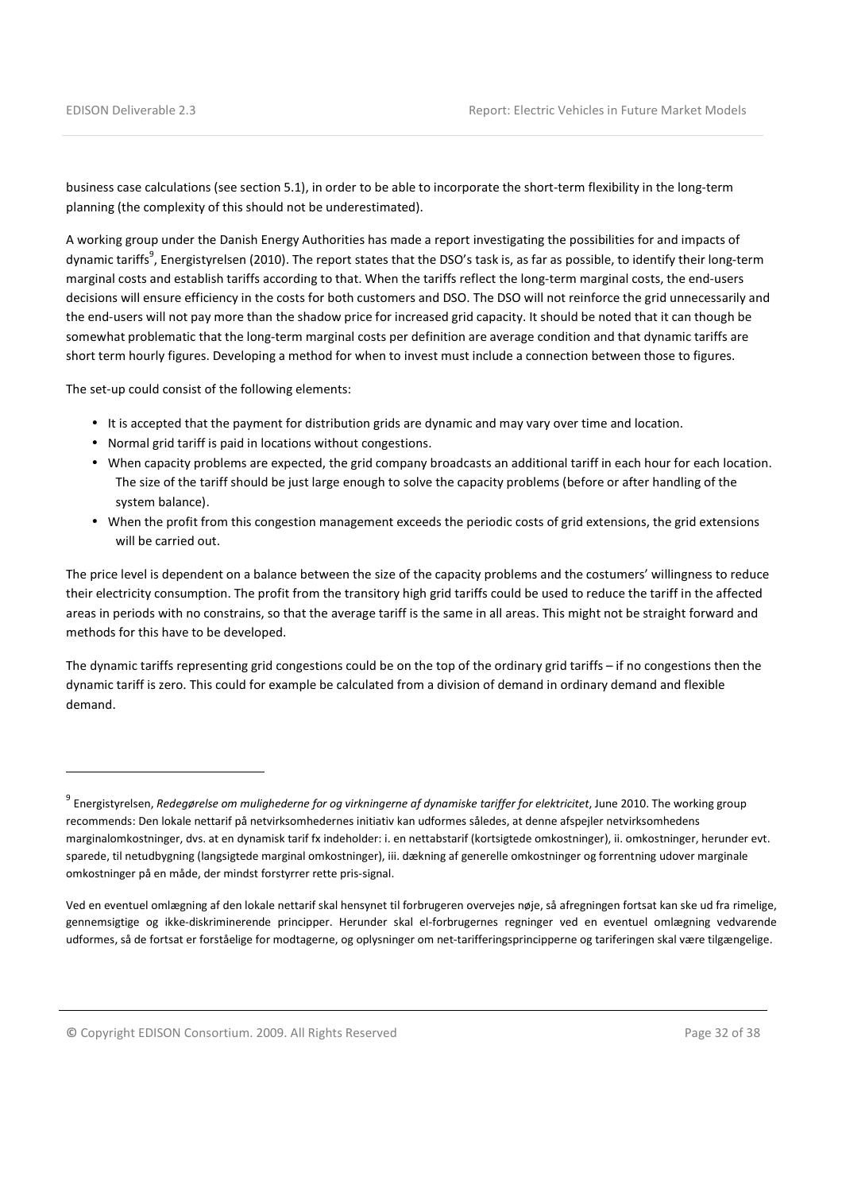l

business case calculations (see section 5.1), in order to be able to incorporate the short-term flexibility in the long-term planning (the complexity of this should not be underestimated).

A working group under the Danish Energy Authorities has made a report investigating the possibilities for and impacts of dynamic tariffs<sup>9</sup>, Energistyrelsen (2010). The report states that the DSO's task is, as far as possible, to identify their long-term marginal costs and establish tariffs according to that. When the tariffs reflect the long-term marginal costs, the end-users decisions will ensure efficiency in the costs for both customers and DSO. The DSO will not reinforce the grid unnecessarily and the end-users will not pay more than the shadow price for increased grid capacity. It should be noted that it can though be somewhat problematic that the long-term marginal costs per definition are average condition and that dynamic tariffs are short term hourly figures. Developing a method for when to invest must include a connection between those to figures.

The set-up could consist of the following elements:

- It is accepted that the payment for distribution grids are dynamic and may vary over time and location.
- Normal grid tariff is paid in locations without congestions.
- When capacity problems are expected, the grid company broadcasts an additional tariff in each hour for each location. The size of the tariff should be just large enough to solve the capacity problems (before or after handling of the system balance).
- When the profit from this congestion management exceeds the periodic costs of grid extensions, the grid extensions will be carried out.

The price level is dependent on a balance between the size of the capacity problems and the costumers' willingness to reduce their electricity consumption. The profit from the transitory high grid tariffs could be used to reduce the tariff in the affected areas in periods with no constrains, so that the average tariff is the same in all areas. This might not be straight forward and methods for this have to be developed.

The dynamic tariffs representing grid congestions could be on the top of the ordinary grid tariffs – if no congestions then the dynamic tariff is zero. This could for example be calculated from a division of demand in ordinary demand and flexible demand.

<sup>&</sup>lt;sup>9</sup> Energistyrelsen, *Redegørelse om mulighederne for og virkningerne af dynamiske tariffer for elektricitet, June 2010. The working group* recommends: Den lokale nettarif på netvirksomhedernes initiativ kan udformes således, at denne afspejler netvirksomhedens marginalomkostninger, dvs. at en dynamisk tarif fx indeholder: i. en nettabstarif (kortsigtede omkostninger), ii. omkostninger, herunder evt. sparede, til netudbygning (langsigtede marginal omkostninger), iii. dækning af generelle omkostninger og forrentning udover marginale omkostninger på en måde, der mindst forstyrrer rette pris-signal.

Ved en eventuel omlægning af den lokale nettarif skal hensynet til forbrugeren overvejes nøje, så afregningen fortsat kan ske ud fra rimelige, gennemsigtige og ikke-diskriminerende principper. Herunder skal el-forbrugernes regninger ved en eventuel omlægning vedvarende udformes, så de fortsat er forståelige for modtagerne, og oplysninger om net-tarifferingsprincipperne og tariferingen skal være tilgængelige.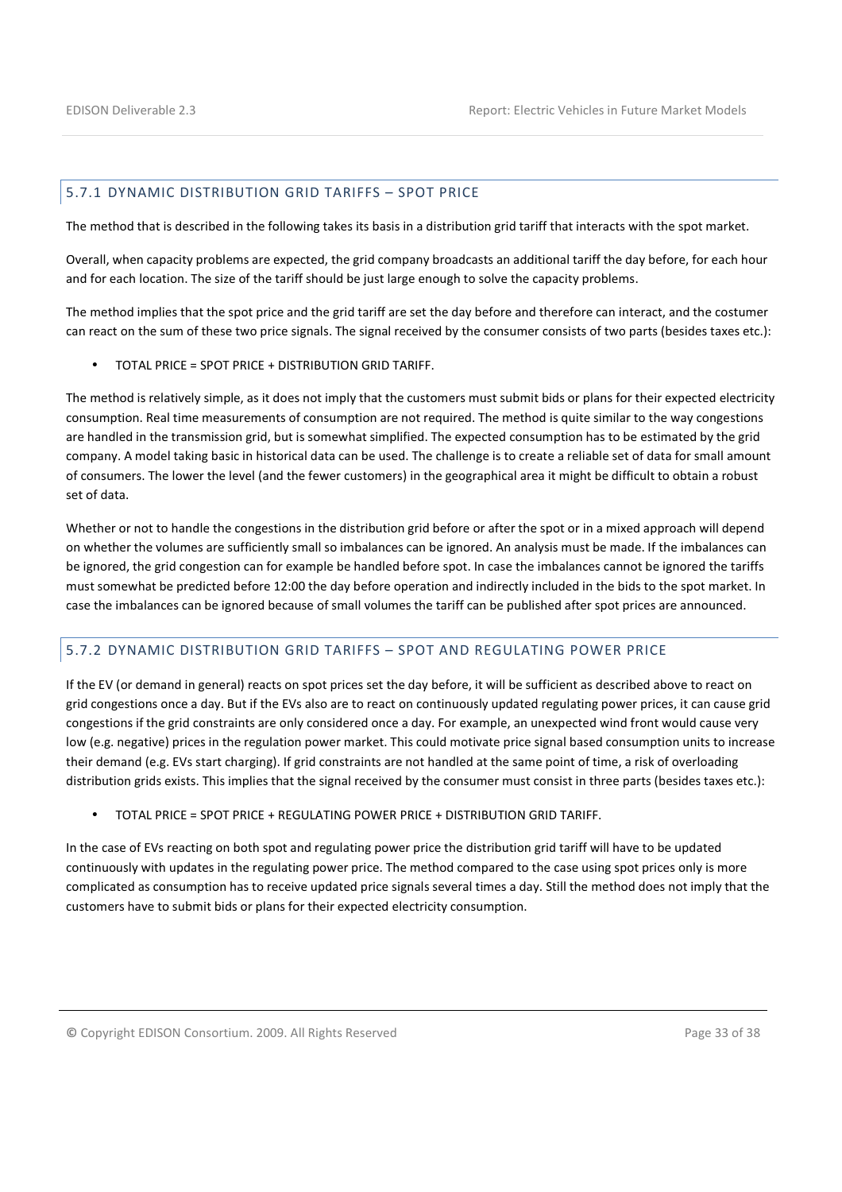#### 5.7.1 DYNAMIC DISTRIBUTION GRID TARIFFS – SPOT PRICE

The method that is described in the following takes its basis in a distribution grid tariff that interacts with the spot market.

Overall, when capacity problems are expected, the grid company broadcasts an additional tariff the day before, for each hour and for each location. The size of the tariff should be just large enough to solve the capacity problems.

The method implies that the spot price and the grid tariff are set the day before and therefore can interact, and the costumer can react on the sum of these two price signals. The signal received by the consumer consists of two parts (besides taxes etc.):

• TOTAL PRICE = SPOT PRICE + DISTRIBUTION GRID TARIFF.

The method is relatively simple, as it does not imply that the customers must submit bids or plans for their expected electricity consumption. Real time measurements of consumption are not required. The method is quite similar to the way congestions are handled in the transmission grid, but is somewhat simplified. The expected consumption has to be estimated by the grid company. A model taking basic in historical data can be used. The challenge is to create a reliable set of data for small amount of consumers. The lower the level (and the fewer customers) in the geographical area it might be difficult to obtain a robust set of data.

Whether or not to handle the congestions in the distribution grid before or after the spot or in a mixed approach will depend on whether the volumes are sufficiently small so imbalances can be ignored. An analysis must be made. If the imbalances can be ignored, the grid congestion can for example be handled before spot. In case the imbalances cannot be ignored the tariffs must somewhat be predicted before 12:00 the day before operation and indirectly included in the bids to the spot market. In case the imbalances can be ignored because of small volumes the tariff can be published after spot prices are announced.

#### 5.7.2 DYNAMIC DISTRIBUTION GRID TARIFFS – SPOT AND REGULATING POWER PRICE

If the EV (or demand in general) reacts on spot prices set the day before, it will be sufficient as described above to react on grid congestions once a day. But if the EVs also are to react on continuously updated regulating power prices, it can cause grid congestions if the grid constraints are only considered once a day. For example, an unexpected wind front would cause very low (e.g. negative) prices in the regulation power market. This could motivate price signal based consumption units to increase their demand (e.g. EVs start charging). If grid constraints are not handled at the same point of time, a risk of overloading distribution grids exists. This implies that the signal received by the consumer must consist in three parts (besides taxes etc.):

• TOTAL PRICE = SPOT PRICE + REGULATING POWER PRICE + DISTRIBUTION GRID TARIFF.

In the case of EVs reacting on both spot and regulating power price the distribution grid tariff will have to be updated continuously with updates in the regulating power price. The method compared to the case using spot prices only is more complicated as consumption has to receive updated price signals several times a day. Still the method does not imply that the customers have to submit bids or plans for their expected electricity consumption.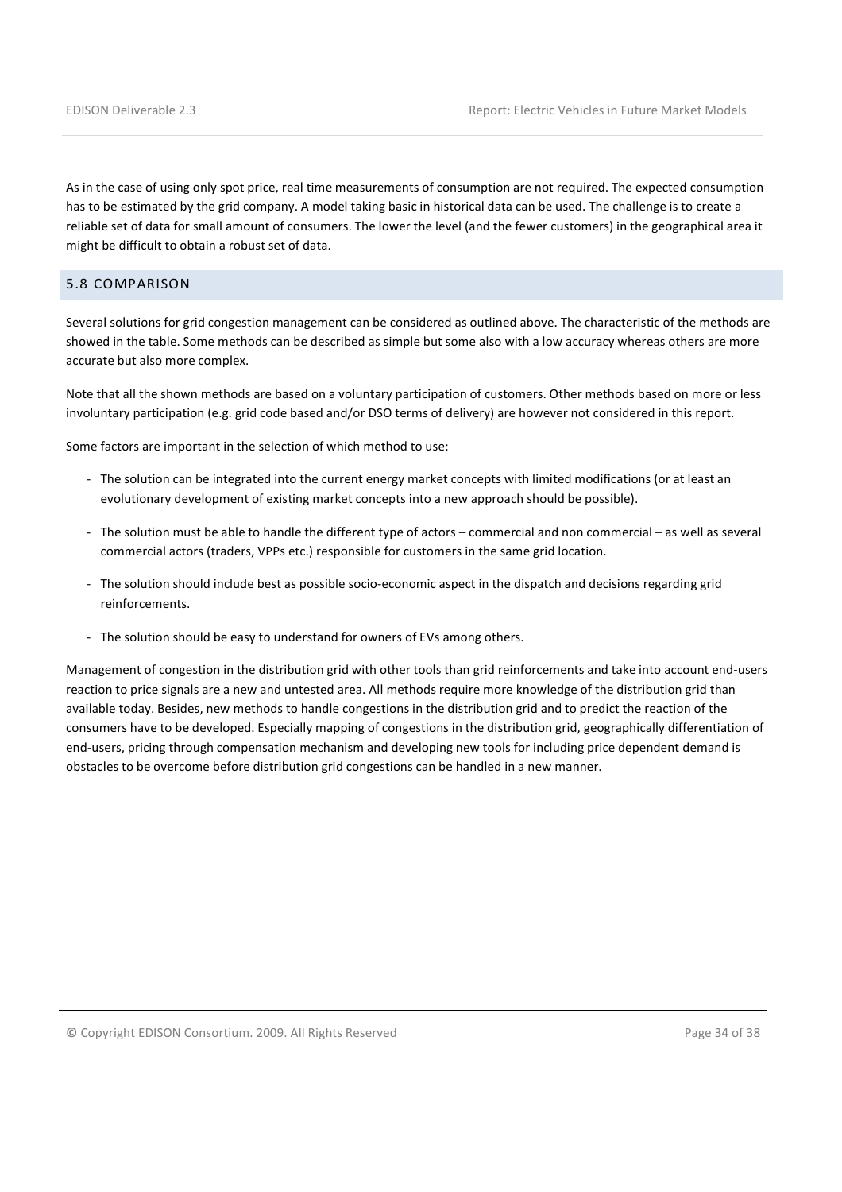As in the case of using only spot price, real time measurements of consumption are not required. The expected consumption has to be estimated by the grid company. A model taking basic in historical data can be used. The challenge is to create a reliable set of data for small amount of consumers. The lower the level (and the fewer customers) in the geographical area it might be difficult to obtain a robust set of data.

#### 5.8 COMPARISON

Several solutions for grid congestion management can be considered as outlined above. The characteristic of the methods are showed in the table. Some methods can be described as simple but some also with a low accuracy whereas others are more accurate but also more complex.

Note that all the shown methods are based on a voluntary participation of customers. Other methods based on more or less involuntary participation (e.g. grid code based and/or DSO terms of delivery) are however not considered in this report.

Some factors are important in the selection of which method to use:

- The solution can be integrated into the current energy market concepts with limited modifications (or at least an evolutionary development of existing market concepts into a new approach should be possible).
- The solution must be able to handle the different type of actors commercial and non commercial as well as several commercial actors (traders, VPPs etc.) responsible for customers in the same grid location.
- The solution should include best as possible socio-economic aspect in the dispatch and decisions regarding grid reinforcements.
- The solution should be easy to understand for owners of EVs among others.

Management of congestion in the distribution grid with other tools than grid reinforcements and take into account end-users reaction to price signals are a new and untested area. All methods require more knowledge of the distribution grid than available today. Besides, new methods to handle congestions in the distribution grid and to predict the reaction of the consumers have to be developed. Especially mapping of congestions in the distribution grid, geographically differentiation of end-users, pricing through compensation mechanism and developing new tools for including price dependent demand is obstacles to be overcome before distribution grid congestions can be handled in a new manner.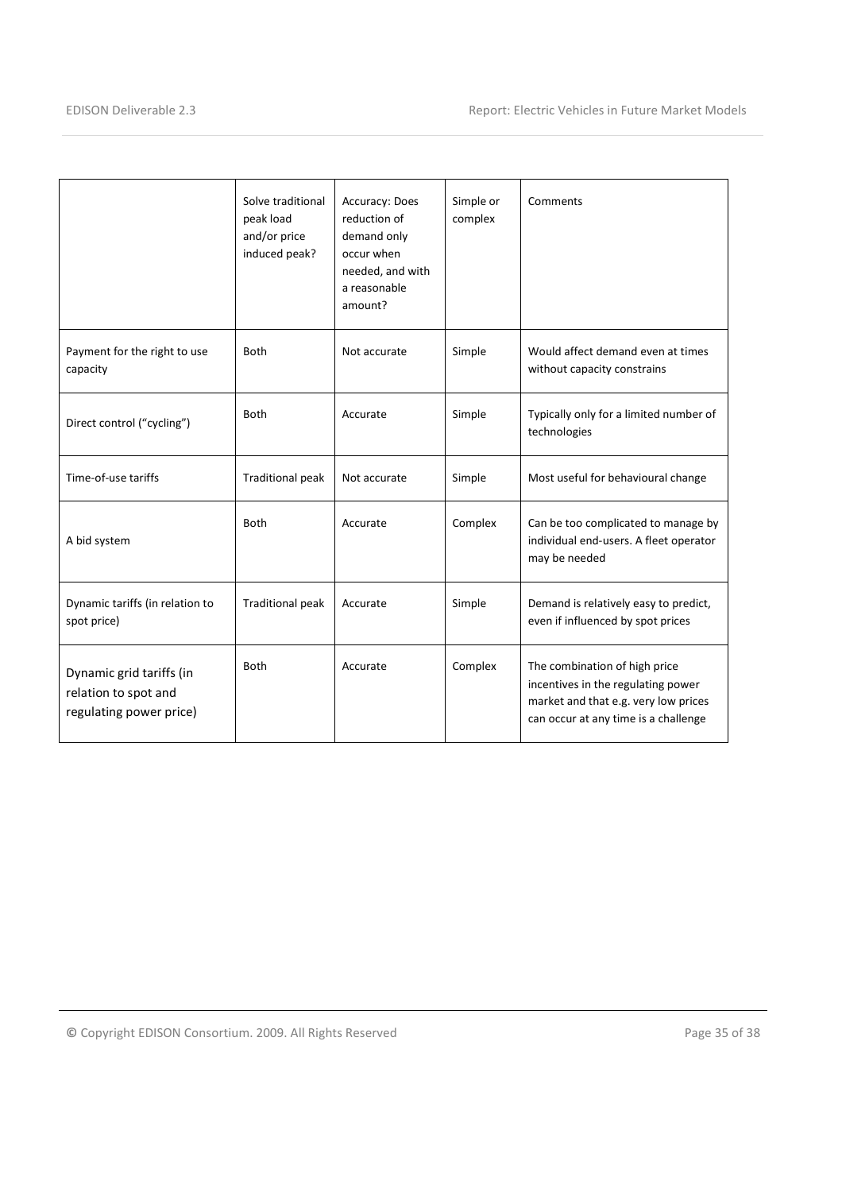|                                                                             | Solve traditional<br>peak load<br>and/or price<br>induced peak? | Accuracy: Does<br>reduction of<br>demand only<br>occur when<br>needed, and with<br>a reasonable<br>amount? | Simple or<br>complex | Comments                                                                                                                                            |
|-----------------------------------------------------------------------------|-----------------------------------------------------------------|------------------------------------------------------------------------------------------------------------|----------------------|-----------------------------------------------------------------------------------------------------------------------------------------------------|
| Payment for the right to use<br>capacity                                    | <b>Both</b>                                                     | Not accurate                                                                                               | Simple               | Would affect demand even at times<br>without capacity constrains                                                                                    |
| Direct control ("cycling")                                                  | <b>Both</b>                                                     | Accurate                                                                                                   | Simple               | Typically only for a limited number of<br>technologies                                                                                              |
| Time-of-use tariffs                                                         | <b>Traditional peak</b>                                         | Not accurate                                                                                               | Simple               | Most useful for behavioural change                                                                                                                  |
| A bid system                                                                | <b>Both</b>                                                     | Accurate                                                                                                   | Complex              | Can be too complicated to manage by<br>individual end-users. A fleet operator<br>may be needed                                                      |
| Dynamic tariffs (in relation to<br>spot price)                              | <b>Traditional peak</b>                                         | Accurate                                                                                                   | Simple               | Demand is relatively easy to predict,<br>even if influenced by spot prices                                                                          |
| Dynamic grid tariffs (in<br>relation to spot and<br>regulating power price) | <b>Both</b>                                                     | Accurate                                                                                                   | Complex              | The combination of high price<br>incentives in the regulating power<br>market and that e.g. very low prices<br>can occur at any time is a challenge |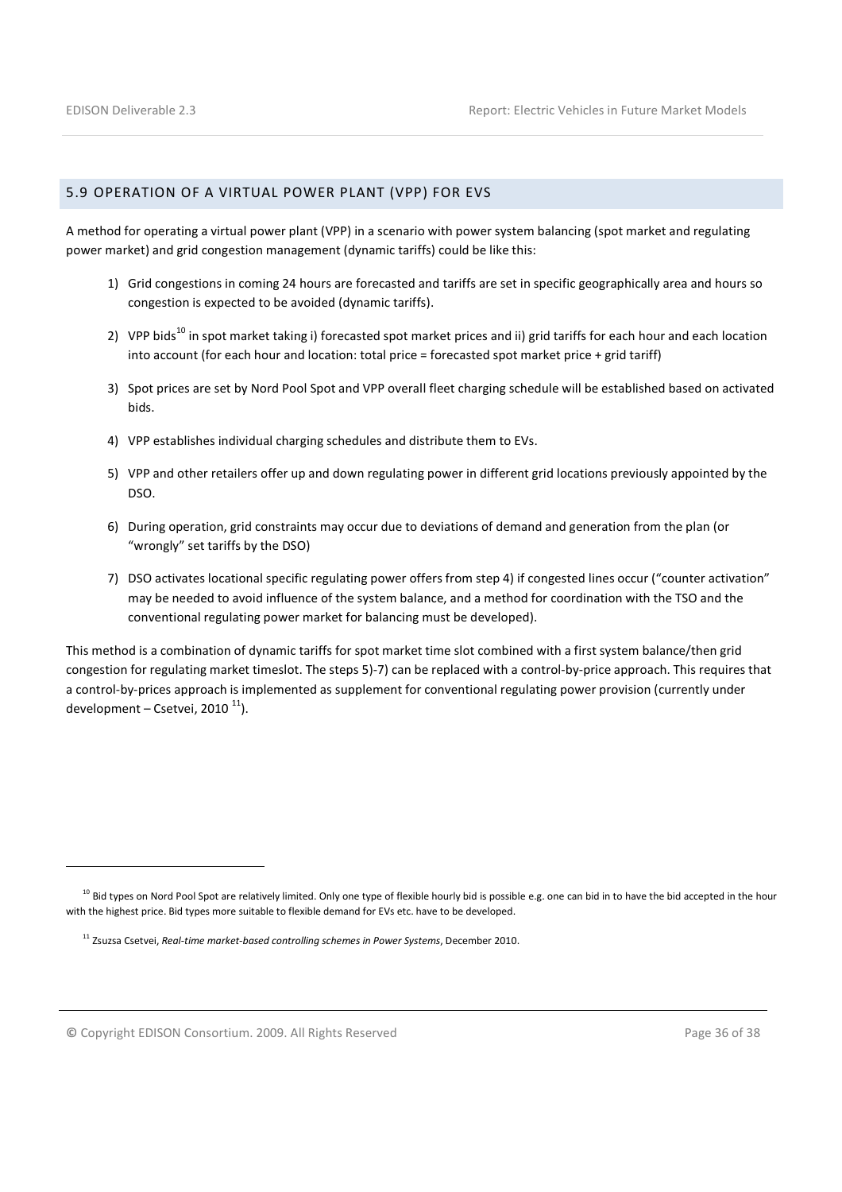#### 5.9 OPERATION OF A VIRTUAL POWER PLANT (VPP) FOR EVS

A method for operating a virtual power plant (VPP) in a scenario with power system balancing (spot market and regulating power market) and grid congestion management (dynamic tariffs) could be like this:

- 1) Grid congestions in coming 24 hours are forecasted and tariffs are set in specific geographically area and hours so congestion is expected to be avoided (dynamic tariffs).
- 2) VPP bids<sup>10</sup> in spot market taking i) forecasted spot market prices and ii) grid tariffs for each hour and each location into account (for each hour and location: total price = forecasted spot market price + grid tariff)
- 3) Spot prices are set by Nord Pool Spot and VPP overall fleet charging schedule will be established based on activated bids.
- 4) VPP establishes individual charging schedules and distribute them to EVs.
- 5) VPP and other retailers offer up and down regulating power in different grid locations previously appointed by the DSO.
- 6) During operation, grid constraints may occur due to deviations of demand and generation from the plan (or "wrongly" set tariffs by the DSO)
- 7) DSO activates locational specific regulating power offers from step 4) if congested lines occur ("counter activation" may be needed to avoid influence of the system balance, and a method for coordination with the TSO and the conventional regulating power market for balancing must be developed).

This method is a combination of dynamic tariffs for spot market time slot combined with a first system balance/then grid congestion for regulating market timeslot. The steps 5)-7) can be replaced with a control-by-price approach. This requires that a control-by-prices approach is implemented as supplement for conventional regulating power provision (currently under development – Csetvei, 2010 $^{11}$ ).

l

<sup>&</sup>lt;sup>10</sup> Bid types on Nord Pool Spot are relatively limited. Only one type of flexible hourly bid is possible e.g. one can bid in to have the bid accepted in the hour with the highest price. Bid types more suitable to flexible demand for EVs etc. have to be developed.

<sup>&</sup>lt;sup>11</sup> Zsuzsa Csetvei, Real-time market-based controlling schemes in Power Systems, December 2010.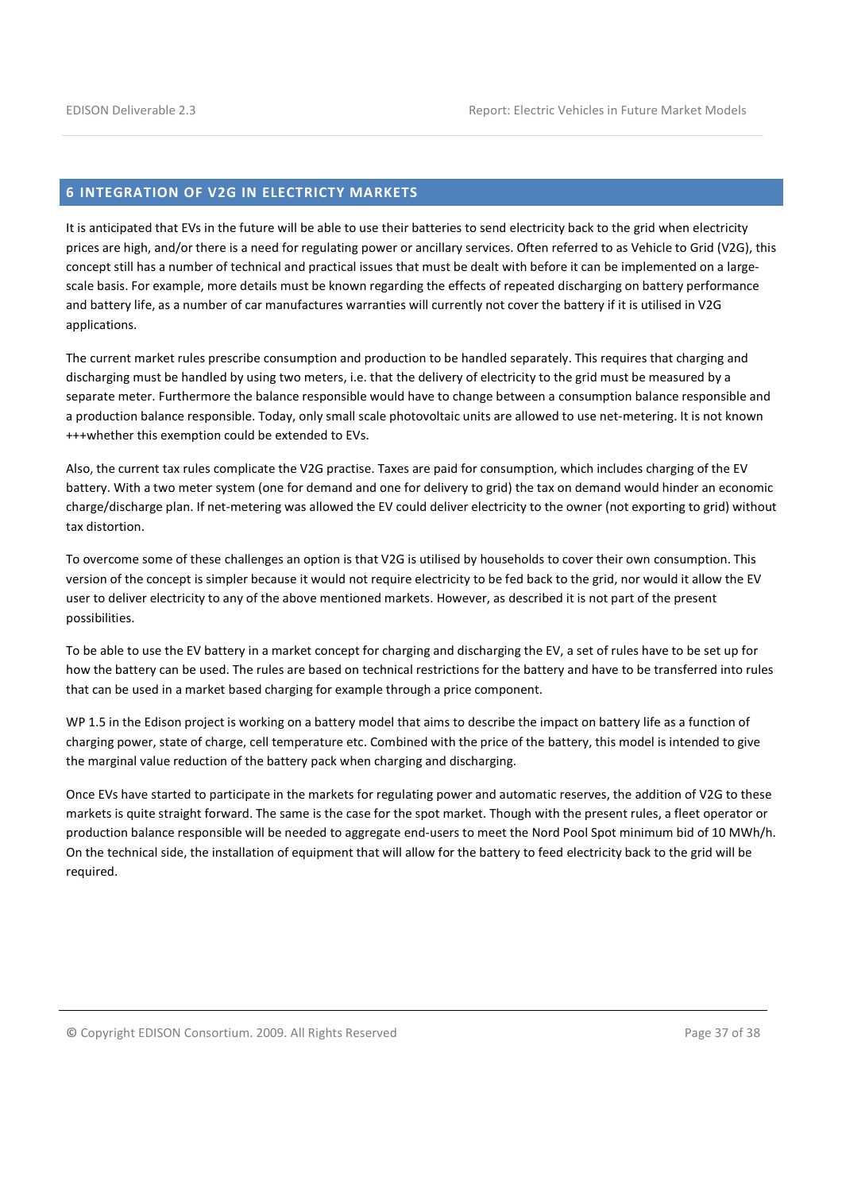#### 6 INTEGRATION OF V2G IN ELECTRICTY MARKETS

It is anticipated that EVs in the future will be able to use their batteries to send electricity back to the grid when electricity prices are high, and/or there is a need for regulating power or ancillary services. Often referred to as Vehicle to Grid (V2G), this concept still has a number of technical and practical issues that must be dealt with before it can be implemented on a largescale basis. For example, more details must be known regarding the effects of repeated discharging on battery performance and battery life, as a number of car manufactures warranties will currently not cover the battery if it is utilised in V2G applications.

The current market rules prescribe consumption and production to be handled separately. This requires that charging and discharging must be handled by using two meters, i.e. that the delivery of electricity to the grid must be measured by a separate meter. Furthermore the balance responsible would have to change between a consumption balance responsible and a production balance responsible. Today, only small scale photovoltaic units are allowed to use net-metering. It is not known +++whether this exemption could be extended to EVs.

Also, the current tax rules complicate the V2G practise. Taxes are paid for consumption, which includes charging of the EV battery. With a two meter system (one for demand and one for delivery to grid) the tax on demand would hinder an economic charge/discharge plan. If net-metering was allowed the EV could deliver electricity to the owner (not exporting to grid) without tax distortion.

To overcome some of these challenges an option is that V2G is utilised by households to cover their own consumption. This version of the concept is simpler because it would not require electricity to be fed back to the grid, nor would it allow the EV user to deliver electricity to any of the above mentioned markets. However, as described it is not part of the present possibilities.

To be able to use the EV battery in a market concept for charging and discharging the EV, a set of rules have to be set up for how the battery can be used. The rules are based on technical restrictions for the battery and have to be transferred into rules that can be used in a market based charging for example through a price component.

WP 1.5 in the Edison project is working on a battery model that aims to describe the impact on battery life as a function of charging power, state of charge, cell temperature etc. Combined with the price of the battery, this model is intended to give the marginal value reduction of the battery pack when charging and discharging.

Once EVs have started to participate in the markets for regulating power and automatic reserves, the addition of V2G to these markets is quite straight forward. The same is the case for the spot market. Though with the present rules, a fleet operator or production balance responsible will be needed to aggregate end-users to meet the Nord Pool Spot minimum bid of 10 MWh/h. On the technical side, the installation of equipment that will allow for the battery to feed electricity back to the grid will be required.